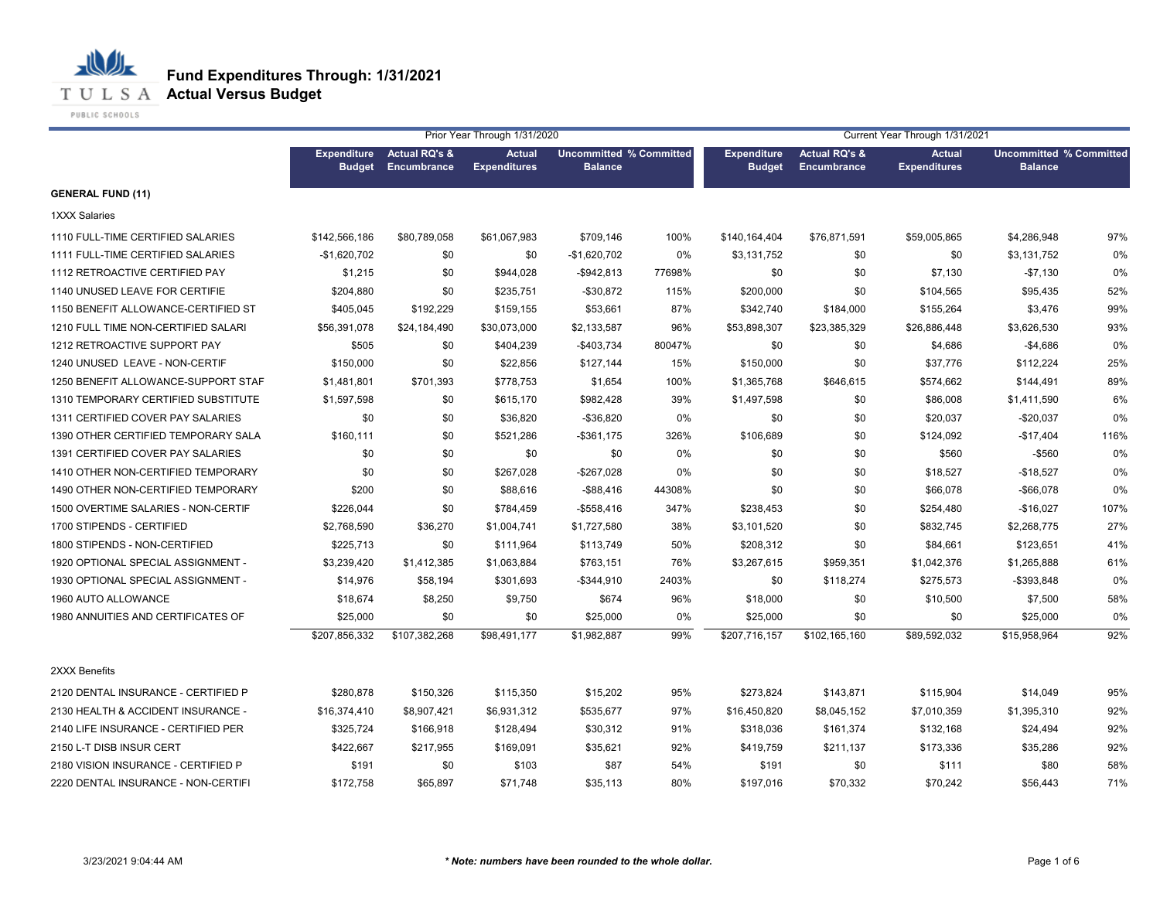

## **T U L S A Actual Versus Budget**

PUBLIC SCHOOLS

|                                     |                                     |                                         | Prior Year Through 1/31/2020         |                                                  |        | Current Year Through 1/31/2021      |                                         |                                      |                                                  |      |  |
|-------------------------------------|-------------------------------------|-----------------------------------------|--------------------------------------|--------------------------------------------------|--------|-------------------------------------|-----------------------------------------|--------------------------------------|--------------------------------------------------|------|--|
|                                     | <b>Expenditure</b><br><b>Budget</b> | <b>Actual RQ's &amp;</b><br>Encumbrance | <b>Actual</b><br><b>Expenditures</b> | <b>Uncommitted % Committed</b><br><b>Balance</b> |        | <b>Expenditure</b><br><b>Budget</b> | <b>Actual RQ's &amp;</b><br>Encumbrance | <b>Actual</b><br><b>Expenditures</b> | <b>Uncommitted % Committed</b><br><b>Balance</b> |      |  |
| <b>GENERAL FUND (11)</b>            |                                     |                                         |                                      |                                                  |        |                                     |                                         |                                      |                                                  |      |  |
| <b>1XXX Salaries</b>                |                                     |                                         |                                      |                                                  |        |                                     |                                         |                                      |                                                  |      |  |
| 1110 FULL-TIME CERTIFIED SALARIES   | \$142,566,186                       | \$80,789,058                            | \$61,067,983                         | \$709,146                                        | 100%   | \$140,164,404                       | \$76,871,591                            | \$59,005,865                         | \$4,286,948                                      | 97%  |  |
| 1111 FULL-TIME CERTIFIED SALARIES   | $-$1,620,702$                       | \$0                                     | \$0                                  | $-$1,620,702$                                    | 0%     | \$3,131,752                         | \$0                                     | \$0                                  | \$3,131,752                                      | 0%   |  |
| 1112 RETROACTIVE CERTIFIED PAY      | \$1,215                             | \$0                                     | \$944,028                            | $-$942,813$                                      | 77698% | \$0                                 | \$0                                     | \$7,130                              | $-$7,130$                                        | 0%   |  |
| 1140 UNUSED LEAVE FOR CERTIFIE      | \$204,880                           | \$0                                     | \$235,751                            | $-$30,872$                                       | 115%   | \$200,000                           | \$0                                     | \$104,565                            | \$95,435                                         | 52%  |  |
| 1150 BENEFIT ALLOWANCE-CERTIFIED ST | \$405,045                           | \$192,229                               | \$159,155                            | \$53,661                                         | 87%    | \$342,740                           | \$184,000                               | \$155,264                            | \$3,476                                          | 99%  |  |
| 1210 FULL TIME NON-CERTIFIED SALARI | \$56,391,078                        | \$24,184,490                            | \$30,073,000                         | \$2,133,587                                      | 96%    | \$53,898,307                        | \$23,385,329                            | \$26,886,448                         | \$3,626,530                                      | 93%  |  |
| 1212 RETROACTIVE SUPPORT PAY        | \$505                               | \$0                                     | \$404,239                            | $-$403,734$                                      | 80047% | \$0                                 | \$0                                     | \$4,686                              | $-$4,686$                                        | 0%   |  |
| 1240 UNUSED LEAVE - NON-CERTIF      | \$150,000                           | \$0                                     | \$22,856                             | \$127,144                                        | 15%    | \$150,000                           | \$0                                     | \$37,776                             | \$112,224                                        | 25%  |  |
| 1250 BENEFIT ALLOWANCE-SUPPORT STAF | \$1,481,801                         | \$701,393                               | \$778,753                            | \$1,654                                          | 100%   | \$1,365,768                         | \$646,615                               | \$574,662                            | \$144,491                                        | 89%  |  |
| 1310 TEMPORARY CERTIFIED SUBSTITUTE | \$1,597,598                         | \$0                                     | \$615,170                            | \$982,428                                        | 39%    | \$1,497,598                         | \$0                                     | \$86,008                             | \$1,411,590                                      | 6%   |  |
| 1311 CERTIFIED COVER PAY SALARIES   | \$0                                 | \$0                                     | \$36,820                             | $-$ \$36,820                                     | 0%     | \$0                                 | \$0                                     | \$20,037                             | $-$20,037$                                       | 0%   |  |
| 1390 OTHER CERTIFIED TEMPORARY SALA | \$160,111                           | \$0                                     | \$521,286                            | $-$ \$361,175                                    | 326%   | \$106,689                           | \$0                                     | \$124,092                            | $-$17,404$                                       | 116% |  |
| 1391 CERTIFIED COVER PAY SALARIES   | \$0                                 | \$0                                     | \$0                                  | \$0                                              | 0%     | \$0                                 | \$0                                     | \$560                                | $-$ \$560                                        | 0%   |  |
| 1410 OTHER NON-CERTIFIED TEMPORARY  | \$0                                 | \$0                                     | \$267,028                            | $-$267,028$                                      | 0%     | \$0                                 | \$0                                     | \$18,527                             | $-$18,527$                                       | 0%   |  |
| 1490 OTHER NON-CERTIFIED TEMPORARY  | \$200                               | \$0                                     | \$88,616                             | $-$ \$88,416                                     | 44308% | \$0                                 | \$0                                     | \$66,078                             | $-$66,078$                                       | 0%   |  |
| 1500 OVERTIME SALARIES - NON-CERTIF | \$226,044                           | \$0                                     | \$784,459                            | $-$558,416$                                      | 347%   | \$238,453                           | \$0                                     | \$254,480                            | $-$16,027$                                       | 107% |  |
| 1700 STIPENDS - CERTIFIED           | \$2,768,590                         | \$36,270                                | \$1,004,741                          | \$1,727,580                                      | 38%    | \$3,101,520                         | \$0                                     | \$832,745                            | \$2,268,775                                      | 27%  |  |
| 1800 STIPENDS - NON-CERTIFIED       | \$225,713                           | \$0                                     | \$111,964                            | \$113,749                                        | 50%    | \$208,312                           | \$0                                     | \$84,661                             | \$123,651                                        | 41%  |  |
| 1920 OPTIONAL SPECIAL ASSIGNMENT -  | \$3,239,420                         | \$1,412,385                             | \$1,063,884                          | \$763,151                                        | 76%    | \$3,267,615                         | \$959,351                               | \$1,042,376                          | \$1,265,888                                      | 61%  |  |
| 1930 OPTIONAL SPECIAL ASSIGNMENT -  | \$14,976                            | \$58,194                                | \$301,693                            | $-$344,910$                                      | 2403%  | \$0                                 | \$118,274                               | \$275,573                            | -\$393,848                                       | 0%   |  |
| 1960 AUTO ALLOWANCE                 | \$18,674                            | \$8,250                                 | \$9,750                              | \$674                                            | 96%    | \$18,000                            | \$0                                     | \$10,500                             | \$7,500                                          | 58%  |  |
| 1980 ANNUITIES AND CERTIFICATES OF  | \$25,000                            | \$0                                     | \$0                                  | \$25,000                                         | 0%     | \$25,000                            | \$0                                     | \$0                                  | \$25,000                                         | 0%   |  |
|                                     | \$207,856,332                       | \$107,382,268                           | \$98,491,177                         | \$1,982,887                                      | 99%    | \$207,716,157                       | \$102,165,160                           | \$89,592,032                         | \$15,958,964                                     | 92%  |  |
| 2XXX Benefits                       |                                     |                                         |                                      |                                                  |        |                                     |                                         |                                      |                                                  |      |  |
| 2120 DENTAL INSURANCE - CERTIFIED P | \$280,878                           | \$150,326                               | \$115,350                            | \$15,202                                         | 95%    | \$273,824                           | \$143,871                               | \$115,904                            | \$14,049                                         | 95%  |  |
| 2130 HEALTH & ACCIDENT INSURANCE -  | \$16,374,410                        | \$8,907,421                             | \$6,931,312                          | \$535,677                                        | 97%    | \$16,450,820                        | \$8,045,152                             | \$7,010,359                          | \$1,395,310                                      | 92%  |  |
| 2140 LIFE INSURANCE - CERTIFIED PER | \$325,724                           | \$166,918                               | \$128,494                            | \$30,312                                         | 91%    | \$318,036                           | \$161,374                               | \$132,168                            | \$24,494                                         | 92%  |  |
| 2150 L-T DISB INSUR CERT            | \$422,667                           | \$217,955                               | \$169,091                            | \$35,621                                         | 92%    | \$419,759                           | \$211,137                               | \$173,336                            | \$35,286                                         | 92%  |  |
| 2180 VISION INSURANCE - CERTIFIED P | \$191                               | \$0                                     | \$103                                | \$87                                             | 54%    | \$191                               | \$0                                     | \$111                                | \$80                                             | 58%  |  |
| 2220 DENTAL INSURANCE - NON-CERTIFI | \$172,758                           | \$65,897                                | \$71,748                             | \$35,113                                         | 80%    | \$197,016                           | \$70,332                                | \$70,242                             | \$56,443                                         | 71%  |  |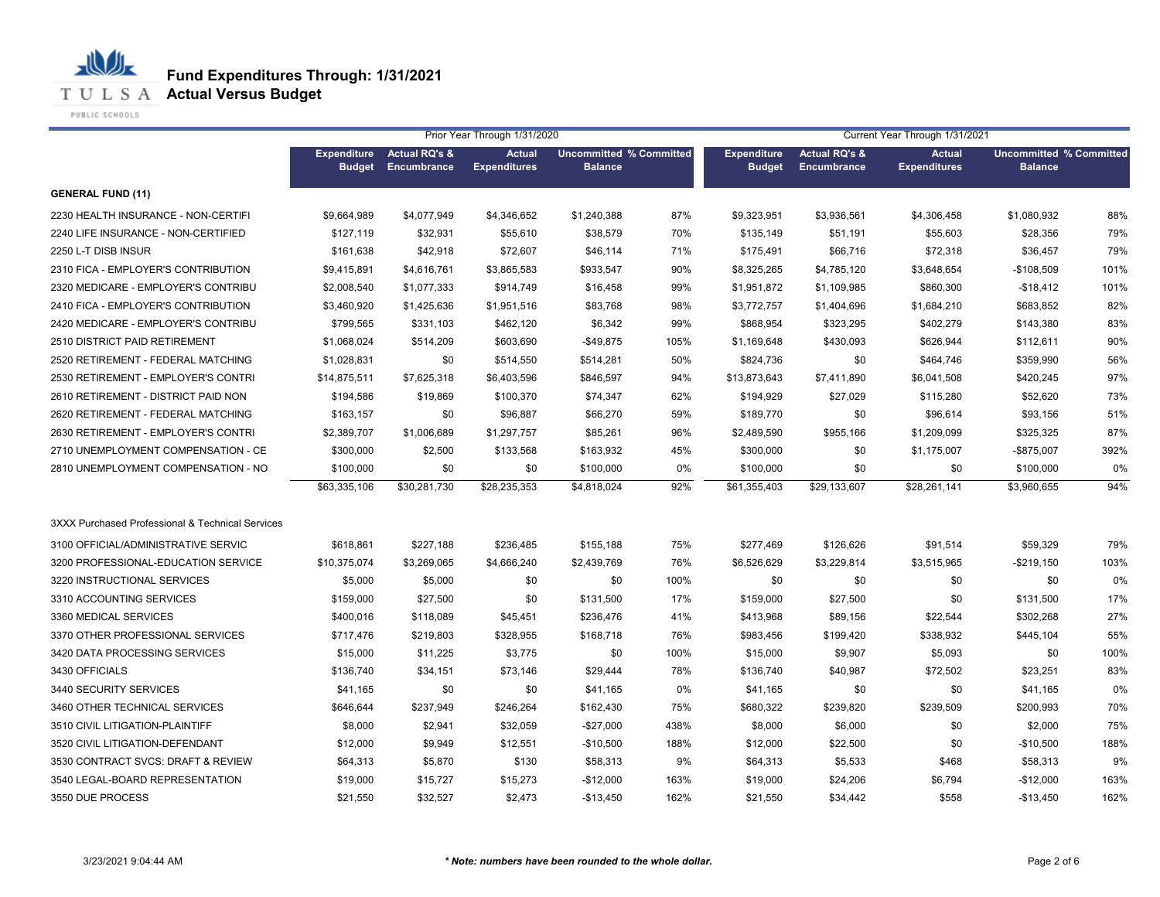## **T U L S A Actual Versus Budget**

PUBLIC SCHOOLS

|                                                  |                                     |                                         | Prior Year Through 1/31/2020         |                                                  |      | Current Year Through 1/31/2021      |                                         |                                      |                                                  |      |
|--------------------------------------------------|-------------------------------------|-----------------------------------------|--------------------------------------|--------------------------------------------------|------|-------------------------------------|-----------------------------------------|--------------------------------------|--------------------------------------------------|------|
|                                                  | <b>Expenditure</b><br><b>Budget</b> | <b>Actual RQ's &amp;</b><br>Encumbrance | <b>Actual</b><br><b>Expenditures</b> | <b>Uncommitted % Committed</b><br><b>Balance</b> |      | <b>Expenditure</b><br><b>Budget</b> | <b>Actual RQ's &amp;</b><br>Encumbrance | <b>Actual</b><br><b>Expenditures</b> | <b>Uncommitted % Committed</b><br><b>Balance</b> |      |
| <b>GENERAL FUND (11)</b>                         |                                     |                                         |                                      |                                                  |      |                                     |                                         |                                      |                                                  |      |
| 2230 HEALTH INSURANCE - NON-CERTIFI              | \$9,664,989                         | \$4,077,949                             | \$4,346,652                          | \$1,240,388                                      | 87%  | \$9,323,951                         | \$3,936,561                             | \$4,306,458                          | \$1,080,932                                      | 88%  |
| 2240 LIFE INSURANCE - NON-CERTIFIED              | \$127,119                           | \$32,931                                | \$55,610                             | \$38,579                                         | 70%  | \$135,149                           | \$51,191                                | \$55,603                             | \$28,356                                         | 79%  |
| 2250 L-T DISB INSUR                              | \$161,638                           | \$42,918                                | \$72,607                             | \$46,114                                         | 71%  | \$175,491                           | \$66,716                                | \$72,318                             | \$36,457                                         | 79%  |
| 2310 FICA - EMPLOYER'S CONTRIBUTION              | \$9,415,891                         | \$4,616,761                             | \$3,865,583                          | \$933,547                                        | 90%  | \$8,325,265                         | \$4,785,120                             | \$3,648,654                          | $-$108,509$                                      | 101% |
| 2320 MEDICARE - EMPLOYER'S CONTRIBU              | \$2,008,540                         | \$1,077,333                             | \$914,749                            | \$16,458                                         | 99%  | \$1,951,872                         | \$1,109,985                             | \$860,300                            | $-$18,412$                                       | 101% |
| 2410 FICA - EMPLOYER'S CONTRIBUTION              | \$3,460,920                         | \$1,425,636                             | \$1,951,516                          | \$83,768                                         | 98%  | \$3,772,757                         | \$1,404,696                             | \$1,684,210                          | \$683,852                                        | 82%  |
| 2420 MEDICARE - EMPLOYER'S CONTRIBU              | \$799,565                           | \$331,103                               | \$462,120                            | \$6,342                                          | 99%  | \$868,954                           | \$323,295                               | \$402,279                            | \$143,380                                        | 83%  |
| 2510 DISTRICT PAID RETIREMENT                    | \$1,068,024                         | \$514,209                               | \$603,690                            | $-$49,875$                                       | 105% | \$1,169,648                         | \$430,093                               | \$626,944                            | \$112,611                                        | 90%  |
| 2520 RETIREMENT - FEDERAL MATCHING               | \$1,028,831                         | \$0                                     | \$514,550                            | \$514,281                                        | 50%  | \$824,736                           | \$0                                     | \$464,746                            | \$359,990                                        | 56%  |
| 2530 RETIREMENT - EMPLOYER'S CONTRI              | \$14,875,511                        | \$7,625,318                             | \$6,403,596                          | \$846,597                                        | 94%  | \$13,873,643                        | \$7,411,890                             | \$6,041,508                          | \$420,245                                        | 97%  |
| 2610 RETIREMENT - DISTRICT PAID NON              | \$194,586                           | \$19,869                                | \$100,370                            | \$74,347                                         | 62%  | \$194,929                           | \$27,029                                | \$115,280                            | \$52,620                                         | 73%  |
| 2620 RETIREMENT - FEDERAL MATCHING               | \$163,157                           | \$0                                     | \$96,887                             | \$66,270                                         | 59%  | \$189,770                           | \$0                                     | \$96,614                             | \$93,156                                         | 51%  |
| 2630 RETIREMENT - EMPLOYER'S CONTRI              | \$2,389,707                         | \$1,006,689                             | \$1,297,757                          | \$85,261                                         | 96%  | \$2,489,590                         | \$955,166                               | \$1,209,099                          | \$325,325                                        | 87%  |
| 2710 UNEMPLOYMENT COMPENSATION - CE              | \$300,000                           | \$2,500                                 | \$133,568                            | \$163,932                                        | 45%  | \$300,000                           | \$0                                     | \$1,175,007                          | -\$875,007                                       | 392% |
| 2810 UNEMPLOYMENT COMPENSATION - NO              | \$100,000                           | \$0                                     | \$0                                  | \$100,000                                        | 0%   | \$100,000                           | \$0                                     | \$0                                  | \$100,000                                        | 0%   |
|                                                  | \$63,335,106                        | \$30,281,730                            | \$28,235,353                         | \$4,818,024                                      | 92%  | \$61,355,403                        | \$29,133,607                            | \$28,261,141                         | \$3,960,655                                      | 94%  |
| 3XXX Purchased Professional & Technical Services |                                     |                                         |                                      |                                                  |      |                                     |                                         |                                      |                                                  |      |
| 3100 OFFICIAL/ADMINISTRATIVE SERVIC              | \$618,861                           | \$227,188                               | \$236,485                            | \$155,188                                        | 75%  | \$277,469                           | \$126,626                               | \$91,514                             | \$59,329                                         | 79%  |
| 3200 PROFESSIONAL-EDUCATION SERVICE              | \$10,375,074                        | \$3,269,065                             | \$4,666,240                          | \$2,439,769                                      | 76%  | \$6,526,629                         | \$3,229,814                             | \$3,515,965                          | $-$219,150$                                      | 103% |
| 3220 INSTRUCTIONAL SERVICES                      | \$5,000                             | \$5,000                                 | \$0                                  | \$0                                              | 100% | \$0                                 | \$0                                     | \$0                                  | \$0                                              | 0%   |
| 3310 ACCOUNTING SERVICES                         | \$159,000                           | \$27,500                                | \$0                                  | \$131,500                                        | 17%  | \$159,000                           | \$27,500                                | \$0                                  | \$131,500                                        | 17%  |
| 3360 MEDICAL SERVICES                            | \$400,016                           | \$118,089                               | \$45,451                             | \$236,476                                        | 41%  | \$413,968                           | \$89,156                                | \$22,544                             | \$302,268                                        | 27%  |
| 3370 OTHER PROFESSIONAL SERVICES                 | \$717,476                           | \$219,803                               | \$328,955                            | \$168,718                                        | 76%  | \$983,456                           | \$199,420                               | \$338,932                            | \$445,104                                        | 55%  |
| 3420 DATA PROCESSING SERVICES                    | \$15,000                            | \$11,225                                | \$3,775                              | \$0                                              | 100% | \$15,000                            | \$9,907                                 | \$5,093                              | \$0                                              | 100% |
| 3430 OFFICIALS                                   | \$136,740                           | \$34,151                                | \$73,146                             | \$29,444                                         | 78%  | \$136,740                           | \$40,987                                | \$72,502                             | \$23,251                                         | 83%  |
| 3440 SECURITY SERVICES                           | \$41,165                            | \$0                                     | \$0                                  | \$41,165                                         | 0%   | \$41,165                            | \$0                                     | \$0                                  | \$41,165                                         | 0%   |
| 3460 OTHER TECHNICAL SERVICES                    | \$646,644                           | \$237,949                               | \$246,264                            | \$162,430                                        | 75%  | \$680,322                           | \$239,820                               | \$239,509                            | \$200,993                                        | 70%  |
| 3510 CIVIL LITIGATION-PLAINTIFF                  | \$8,000                             | \$2,941                                 | \$32,059                             | $-$27,000$                                       | 438% | \$8,000                             | \$6,000                                 | \$0                                  | \$2,000                                          | 75%  |
| 3520 CIVIL LITIGATION-DEFENDANT                  | \$12,000                            | \$9,949                                 | \$12,551                             | $-$10,500$                                       | 188% | \$12,000                            | \$22,500                                | \$0                                  | $-$10,500$                                       | 188% |
| 3530 CONTRACT SVCS: DRAFT & REVIEW               | \$64,313                            | \$5,870                                 | \$130                                | \$58,313                                         | 9%   | \$64,313                            | \$5,533                                 | \$468                                | \$58,313                                         | 9%   |
| 3540 LEGAL-BOARD REPRESENTATION                  | \$19,000                            | \$15,727                                | \$15,273                             | $-$12,000$                                       | 163% | \$19,000                            | \$24,206                                | \$6,794                              | $-$12,000$                                       | 163% |
| 3550 DUE PROCESS                                 | \$21,550                            | \$32,527                                | \$2,473                              | $-$13,450$                                       | 162% | \$21,550                            | \$34,442                                | \$558                                | $-$13,450$                                       | 162% |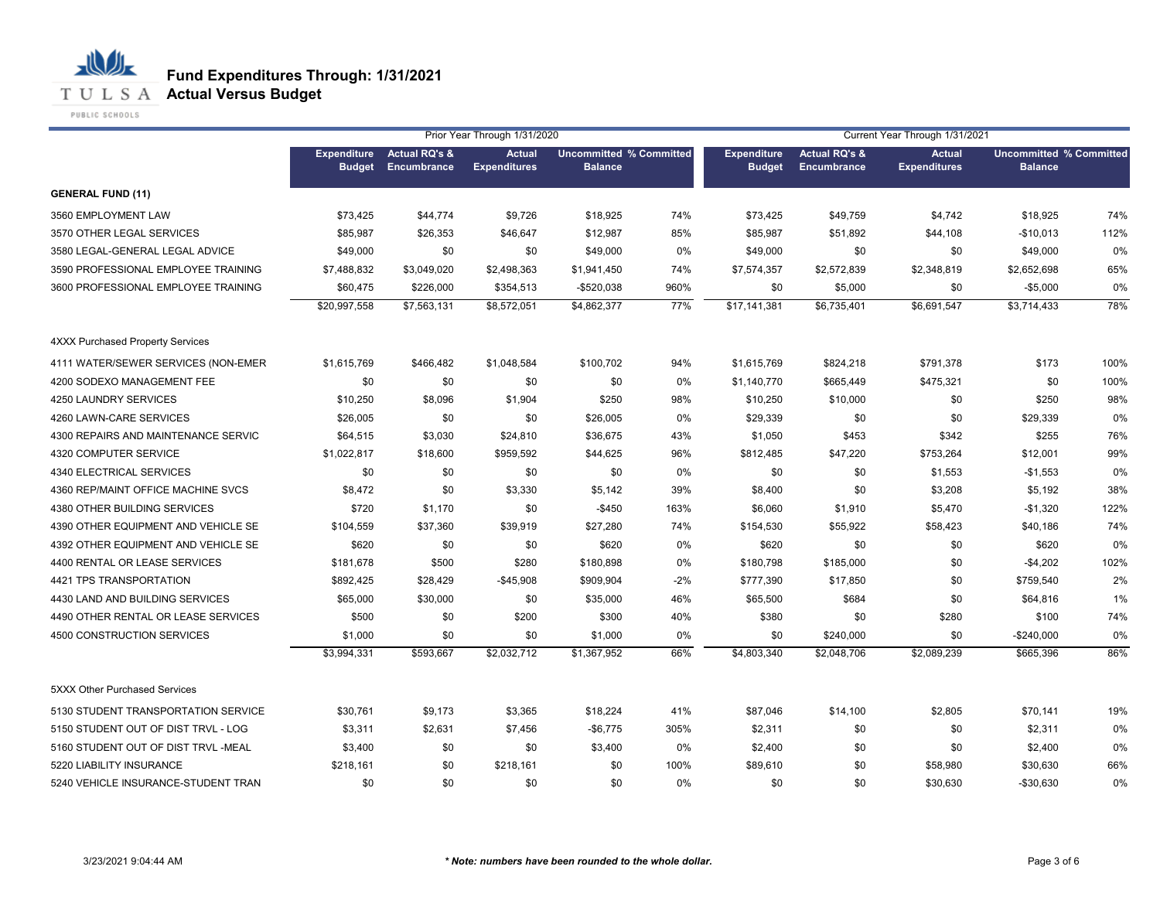**T U L S A Actual Versus Budget** 

PUBLIC SCHOOLS

|                                     |                                     |                                         | Prior Year Through 1/31/2020         |                                                  |       |                                     | Current Year Through 1/31/2021          |                                      |                                                  |      |
|-------------------------------------|-------------------------------------|-----------------------------------------|--------------------------------------|--------------------------------------------------|-------|-------------------------------------|-----------------------------------------|--------------------------------------|--------------------------------------------------|------|
|                                     | <b>Expenditure</b><br><b>Budget</b> | <b>Actual RQ's &amp;</b><br>Encumbrance | <b>Actual</b><br><b>Expenditures</b> | <b>Uncommitted % Committed</b><br><b>Balance</b> |       | <b>Expenditure</b><br><b>Budget</b> | <b>Actual RQ's &amp;</b><br>Encumbrance | <b>Actual</b><br><b>Expenditures</b> | <b>Uncommitted % Committed</b><br><b>Balance</b> |      |
| <b>GENERAL FUND (11)</b>            |                                     |                                         |                                      |                                                  |       |                                     |                                         |                                      |                                                  |      |
| 3560 EMPLOYMENT LAW                 | \$73,425                            | \$44,774                                | \$9,726                              | \$18,925                                         | 74%   | \$73,425                            | \$49,759                                | \$4,742                              | \$18,925                                         | 74%  |
| 3570 OTHER LEGAL SERVICES           | \$85,987                            | \$26,353                                | \$46,647                             | \$12,987                                         | 85%   | \$85,987                            | \$51,892                                | \$44,108                             | $-$10,013$                                       | 112% |
| 3580 LEGAL-GENERAL LEGAL ADVICE     | \$49,000                            | \$0                                     | \$0                                  | \$49,000                                         | 0%    | \$49,000                            | \$0                                     | \$0                                  | \$49,000                                         | 0%   |
| 3590 PROFESSIONAL EMPLOYEE TRAINING | \$7,488,832                         | \$3,049,020                             | \$2,498,363                          | \$1,941,450                                      | 74%   | \$7,574,357                         | \$2,572,839                             | \$2,348,819                          | \$2,652,698                                      | 65%  |
| 3600 PROFESSIONAL EMPLOYEE TRAINING | \$60,475                            | \$226,000                               | \$354,513                            | $-$520,038$                                      | 960%  | \$0                                 | \$5,000                                 | \$0                                  | $-$5,000$                                        | 0%   |
|                                     | \$20,997,558                        | \$7,563,131                             | \$8,572,051                          | \$4,862,377                                      | 77%   | \$17,141,381                        | \$6,735,401                             | \$6,691,547                          | \$3,714,433                                      | 78%  |
| 4XXX Purchased Property Services    |                                     |                                         |                                      |                                                  |       |                                     |                                         |                                      |                                                  |      |
| 4111 WATER/SEWER SERVICES (NON-EMER | \$1,615,769                         | \$466,482                               | \$1,048,584                          | \$100,702                                        | 94%   | \$1,615,769                         | \$824,218                               | \$791,378                            | \$173                                            | 100% |
| 4200 SODEXO MANAGEMENT FEE          | \$0                                 | \$0                                     | \$0                                  | \$0                                              | 0%    | \$1,140,770                         | \$665,449                               | \$475,321                            | \$0                                              | 100% |
| 4250 LAUNDRY SERVICES               | \$10,250                            | \$8,096                                 | \$1,904                              | \$250                                            | 98%   | \$10,250                            | \$10,000                                | \$0                                  | \$250                                            | 98%  |
| 4260 LAWN-CARE SERVICES             | \$26,005                            | \$0                                     | \$0                                  | \$26,005                                         | 0%    | \$29,339                            | \$0                                     | \$0                                  | \$29,339                                         | 0%   |
| 4300 REPAIRS AND MAINTENANCE SERVIC | \$64,515                            | \$3,030                                 | \$24,810                             | \$36,675                                         | 43%   | \$1,050                             | \$453                                   | \$342                                | \$255                                            | 76%  |
| 4320 COMPUTER SERVICE               | \$1,022,817                         | \$18,600                                | \$959,592                            | \$44,625                                         | 96%   | \$812,485                           | \$47,220                                | \$753,264                            | \$12,001                                         | 99%  |
| 4340 ELECTRICAL SERVICES            | \$0                                 | \$0                                     | \$0                                  | \$0                                              | 0%    | \$0                                 | \$0                                     | \$1,553                              | $-$1,553$                                        | 0%   |
| 4360 REP/MAINT OFFICE MACHINE SVCS  | \$8,472                             | \$0                                     | \$3,330                              | \$5,142                                          | 39%   | \$8,400                             | \$0                                     | \$3,208                              | \$5,192                                          | 38%  |
| 4380 OTHER BUILDING SERVICES        | \$720                               | \$1,170                                 | \$0                                  | $-$450$                                          | 163%  | \$6,060                             | \$1,910                                 | \$5,470                              | $-$1,320$                                        | 122% |
| 4390 OTHER EQUIPMENT AND VEHICLE SE | \$104,559                           | \$37,360                                | \$39,919                             | \$27,280                                         | 74%   | \$154,530                           | \$55,922                                | \$58,423                             | \$40,186                                         | 74%  |
| 4392 OTHER EQUIPMENT AND VEHICLE SE | \$620                               | \$0                                     | \$0                                  | \$620                                            | 0%    | \$620                               | \$0                                     | \$0                                  | \$620                                            | 0%   |
| 4400 RENTAL OR LEASE SERVICES       | \$181,678                           | \$500                                   | \$280                                | \$180,898                                        | 0%    | \$180,798                           | \$185,000                               | \$0                                  | $-$4,202$                                        | 102% |
| 4421 TPS TRANSPORTATION             | \$892,425                           | \$28,429                                | $-$45,908$                           | \$909,904                                        | $-2%$ | \$777,390                           | \$17,850                                | \$0                                  | \$759,540                                        | 2%   |
| 4430 LAND AND BUILDING SERVICES     | \$65,000                            | \$30,000                                | \$0                                  | \$35,000                                         | 46%   | \$65,500                            | \$684                                   | \$0                                  | \$64,816                                         | 1%   |
| 4490 OTHER RENTAL OR LEASE SERVICES | \$500                               | \$0                                     | \$200                                | \$300                                            | 40%   | \$380                               | \$0                                     | \$280                                | \$100                                            | 74%  |
| 4500 CONSTRUCTION SERVICES          | \$1,000                             | \$0                                     | \$0                                  | \$1,000                                          | 0%    | \$0                                 | \$240,000                               | \$0                                  | $-$240,000$                                      | 0%   |
|                                     | \$3,994,331                         | \$593,667                               | \$2,032,712                          | \$1,367,952                                      | 66%   | \$4,803,340                         | \$2,048,706                             | \$2,089,239                          | \$665,396                                        | 86%  |
| 5XXX Other Purchased Services       |                                     |                                         |                                      |                                                  |       |                                     |                                         |                                      |                                                  |      |
| 5130 STUDENT TRANSPORTATION SERVICE | \$30,761                            | \$9,173                                 | \$3,365                              | \$18,224                                         | 41%   | \$87,046                            | \$14,100                                | \$2,805                              | \$70,141                                         | 19%  |
| 5150 STUDENT OUT OF DIST TRVL - LOG | \$3,311                             | \$2,631                                 | \$7,456                              | $-$6,775$                                        | 305%  | \$2,311                             | \$0                                     | \$0                                  | \$2,311                                          | 0%   |
| 5160 STUDENT OUT OF DIST TRVL -MEAL | \$3,400                             | \$0                                     | \$0                                  | \$3,400                                          | 0%    | \$2,400                             | \$0                                     | \$0                                  | \$2,400                                          | 0%   |
| 5220 LIABILITY INSURANCE            | \$218,161                           | \$0                                     | \$218,161                            | \$0                                              | 100%  | \$89,610                            | \$0                                     | \$58,980                             | \$30,630                                         | 66%  |
| 5240 VEHICLE INSURANCE-STUDENT TRAN | \$0                                 | \$0                                     | \$0                                  | \$0                                              | 0%    | \$0                                 | \$0                                     | \$30,630                             | $-$30,630$                                       | 0%   |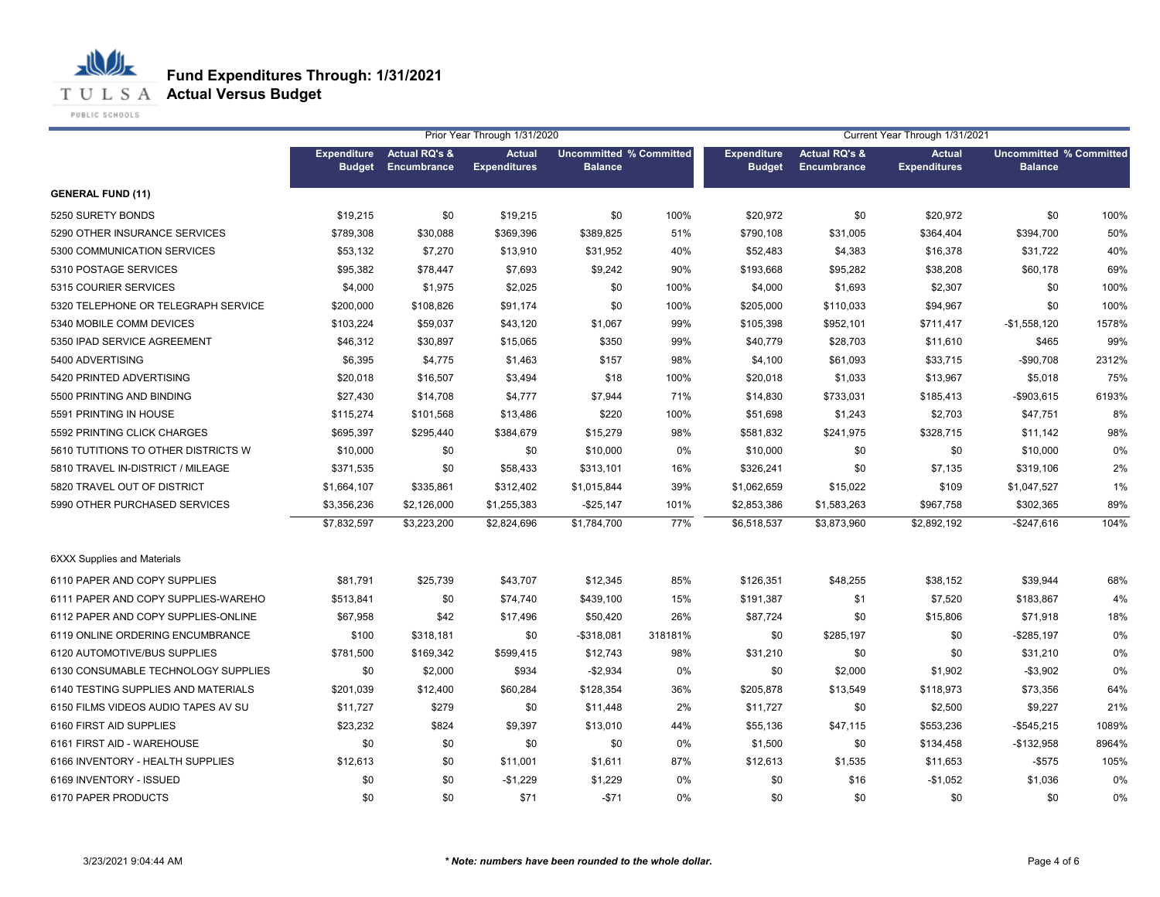**T U L S A Actual Versus Budget** 

PUBLIC SCHOOLS

|                                     |                                     |                                         | Prior Year Through 1/31/2020         |                                                  |         |                                     |                                                | Current Year Through 1/31/2021       |                                                  |       |
|-------------------------------------|-------------------------------------|-----------------------------------------|--------------------------------------|--------------------------------------------------|---------|-------------------------------------|------------------------------------------------|--------------------------------------|--------------------------------------------------|-------|
|                                     | <b>Expenditure</b><br><b>Budget</b> | <b>Actual RQ's &amp;</b><br>Encumbrance | <b>Actual</b><br><b>Expenditures</b> | <b>Uncommitted % Committed</b><br><b>Balance</b> |         | <b>Expenditure</b><br><b>Budget</b> | <b>Actual RQ's &amp;</b><br><b>Encumbrance</b> | <b>Actual</b><br><b>Expenditures</b> | <b>Uncommitted % Committed</b><br><b>Balance</b> |       |
|                                     |                                     |                                         |                                      |                                                  |         |                                     |                                                |                                      |                                                  |       |
| <b>GENERAL FUND (11)</b>            |                                     |                                         |                                      |                                                  |         |                                     |                                                |                                      |                                                  |       |
| 5250 SURETY BONDS                   | \$19,215                            | \$0                                     | \$19,215                             | \$0                                              | 100%    | \$20,972                            | \$0                                            | \$20,972                             | \$0                                              | 100%  |
| 5290 OTHER INSURANCE SERVICES       | \$789,308                           | \$30,088                                | \$369,396                            | \$389,825                                        | 51%     | \$790,108                           | \$31,005                                       | \$364,404                            | \$394,700                                        | 50%   |
| 5300 COMMUNICATION SERVICES         | \$53,132                            | \$7,270                                 | \$13,910                             | \$31,952                                         | 40%     | \$52,483                            | \$4,383                                        | \$16,378                             | \$31,722                                         | 40%   |
| 5310 POSTAGE SERVICES               | \$95,382                            | \$78,447                                | \$7,693                              | \$9,242                                          | 90%     | \$193,668                           | \$95,282                                       | \$38,208                             | \$60,178                                         | 69%   |
| 5315 COURIER SERVICES               | \$4,000                             | \$1,975                                 | \$2,025                              | \$0                                              | 100%    | \$4,000                             | \$1,693                                        | \$2,307                              | \$0                                              | 100%  |
| 5320 TELEPHONE OR TELEGRAPH SERVICE | \$200,000                           | \$108,826                               | \$91,174                             | \$0                                              | 100%    | \$205,000                           | \$110,033                                      | \$94,967                             | \$0                                              | 100%  |
| 5340 MOBILE COMM DEVICES            | \$103,224                           | \$59,037                                | \$43,120                             | \$1,067                                          | 99%     | \$105,398                           | \$952,101                                      | \$711,417                            | $-$1,558,120$                                    | 1578% |
| 5350 IPAD SERVICE AGREEMENT         | \$46,312                            | \$30,897                                | \$15,065                             | \$350                                            | 99%     | \$40,779                            | \$28,703                                       | \$11,610                             | \$465                                            | 99%   |
| 5400 ADVERTISING                    | \$6,395                             | \$4,775                                 | \$1,463                              | \$157                                            | 98%     | \$4,100                             | \$61,093                                       | \$33,715                             | $-$90,708$                                       | 2312% |
| 5420 PRINTED ADVERTISING            | \$20,018                            | \$16,507                                | \$3,494                              | \$18                                             | 100%    | \$20,018                            | \$1,033                                        | \$13,967                             | \$5,018                                          | 75%   |
| 5500 PRINTING AND BINDING           | \$27,430                            | \$14,708                                | \$4,777                              | \$7,944                                          | 71%     | \$14,830                            | \$733,031                                      | \$185,413                            | $-$903,615$                                      | 6193% |
| 5591 PRINTING IN HOUSE              | \$115,274                           | \$101,568                               | \$13,486                             | \$220                                            | 100%    | \$51,698                            | \$1,243                                        | \$2,703                              | \$47,751                                         | 8%    |
| 5592 PRINTING CLICK CHARGES         | \$695,397                           | \$295,440                               | \$384,679                            | \$15,279                                         | 98%     | \$581,832                           | \$241,975                                      | \$328,715                            | \$11,142                                         | 98%   |
| 5610 TUTITIONS TO OTHER DISTRICTS W | \$10,000                            | \$0                                     | \$0                                  | \$10,000                                         | 0%      | \$10,000                            | \$0                                            | \$0                                  | \$10,000                                         | 0%    |
| 5810 TRAVEL IN-DISTRICT / MILEAGE   | \$371,535                           | \$0                                     | \$58,433                             | \$313,101                                        | 16%     | \$326,241                           | \$0                                            | \$7,135                              | \$319,106                                        | 2%    |
| 5820 TRAVEL OUT OF DISTRICT         | \$1,664,107                         | \$335,861                               | \$312,402                            | \$1,015,844                                      | 39%     | \$1,062,659                         | \$15,022                                       | \$109                                | \$1,047,527                                      | 1%    |
| 5990 OTHER PURCHASED SERVICES       | \$3,356,236                         | \$2,126,000                             | \$1,255,383                          | $-$25,147$                                       | 101%    | \$2,853,386                         | \$1,583,263                                    | \$967,758                            | \$302,365                                        | 89%   |
|                                     | \$7,832,597                         | \$3,223,200                             | \$2,824,696                          | \$1,784,700                                      | 77%     | \$6,518,537                         | \$3,873,960                                    | \$2,892,192                          | $-$247,616$                                      | 104%  |
| <b>6XXX Supplies and Materials</b>  |                                     |                                         |                                      |                                                  |         |                                     |                                                |                                      |                                                  |       |
| 6110 PAPER AND COPY SUPPLIES        | \$81,791                            | \$25,739                                | \$43,707                             | \$12,345                                         | 85%     | \$126,351                           | \$48,255                                       | \$38,152                             | \$39,944                                         | 68%   |
| 6111 PAPER AND COPY SUPPLIES-WAREHO | \$513,841                           | \$0                                     | \$74,740                             | \$439,100                                        | 15%     | \$191,387                           | \$1                                            | \$7,520                              | \$183,867                                        | 4%    |
| 6112 PAPER AND COPY SUPPLIES-ONLINE | \$67,958                            | \$42                                    | \$17,496                             | \$50,420                                         | 26%     | \$87,724                            | \$0                                            | \$15,806                             | \$71,918                                         | 18%   |
| 6119 ONLINE ORDERING ENCUMBRANCE    | \$100                               | \$318,181                               | \$0                                  | $-$318,081$                                      | 318181% | \$0                                 | \$285,197                                      | \$0                                  | $-$285,197$                                      | 0%    |
| 6120 AUTOMOTIVE/BUS SUPPLIES        | \$781,500                           | \$169,342                               | \$599,415                            | \$12,743                                         | 98%     | \$31,210                            | \$0                                            | \$0                                  | \$31,210                                         | 0%    |
| 6130 CONSUMABLE TECHNOLOGY SUPPLIES | \$0                                 | \$2,000                                 | \$934                                | $-$2,934$                                        | 0%      | \$0                                 | \$2,000                                        | \$1,902                              | $-$3,902$                                        | 0%    |
| 6140 TESTING SUPPLIES AND MATERIALS | \$201,039                           | \$12,400                                | \$60,284                             | \$128,354                                        | 36%     | \$205,878                           | \$13,549                                       | \$118,973                            | \$73,356                                         | 64%   |
| 6150 FILMS VIDEOS AUDIO TAPES AV SU | \$11,727                            | \$279                                   | \$0                                  | \$11,448                                         | 2%      | \$11,727                            | \$0                                            | \$2,500                              | \$9,227                                          | 21%   |
| 6160 FIRST AID SUPPLIES             | \$23,232                            | \$824                                   | \$9,397                              | \$13,010                                         | 44%     | \$55,136                            | \$47,115                                       | \$553,236                            | $-$545,215$                                      | 1089% |
| 6161 FIRST AID - WAREHOUSE          | \$0                                 | \$0                                     | \$0                                  | \$0                                              | 0%      | \$1,500                             | \$0                                            | \$134,458                            | $-$132,958$                                      | 8964% |
| 6166 INVENTORY - HEALTH SUPPLIES    | \$12,613                            | \$0                                     | \$11,001                             | \$1,611                                          | 87%     | \$12,613                            | \$1,535                                        | \$11,653                             | $-$ \$575                                        | 105%  |
| 6169 INVENTORY - ISSUED             | \$0                                 | \$0                                     | $-$1,229$                            | \$1,229                                          | 0%      | \$0                                 | \$16                                           | $-$1,052$                            | \$1,036                                          | 0%    |
| 6170 PAPER PRODUCTS                 | \$0                                 | \$0                                     | \$71                                 | $-$71$                                           | 0%      | \$0                                 | \$0                                            | \$0                                  | \$0                                              | 0%    |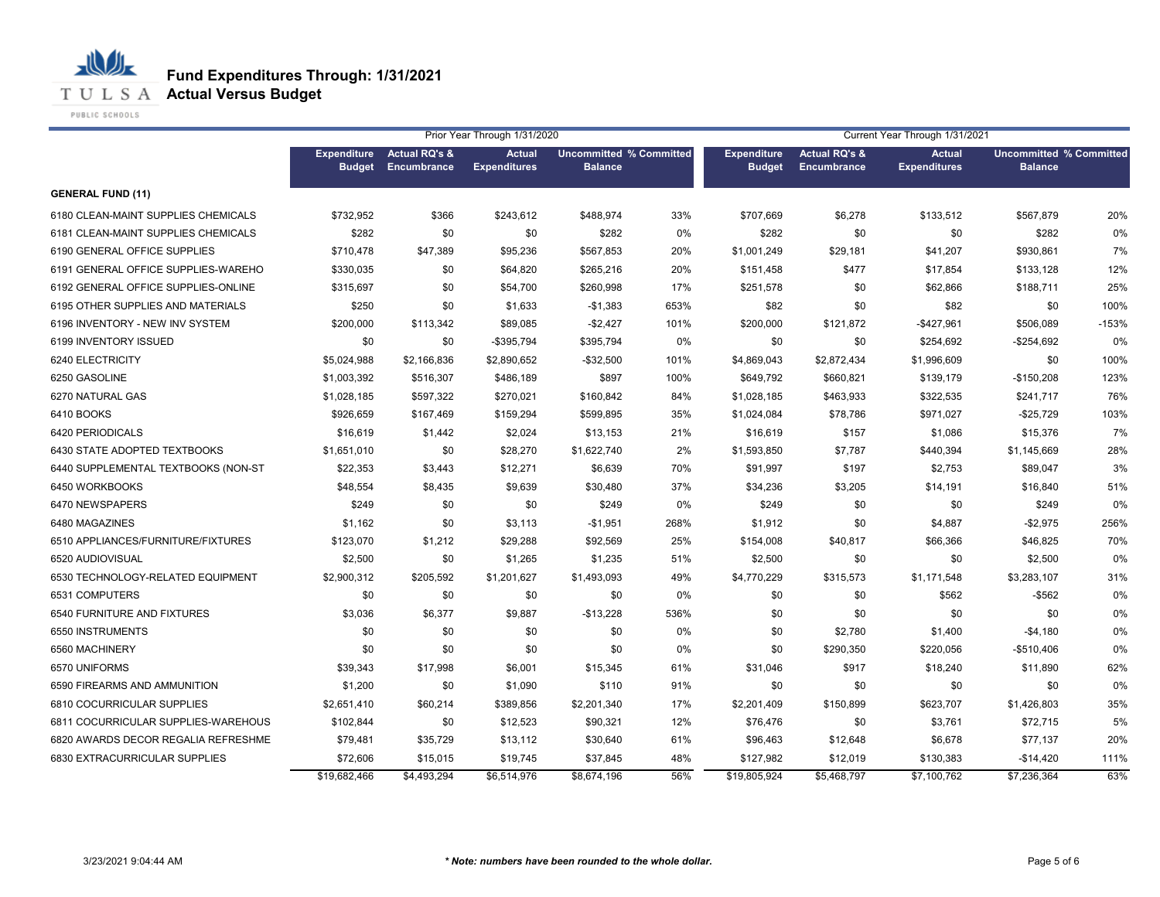**T U L S A Actual Versus Budget** 

PUBLIC SCHOOLS

|                                     |                                     |                                         | Prior Year Through 1/31/2020         |                                                  |       | Current Year Through 1/31/2021      |                                         |                                      |                                                  |         |
|-------------------------------------|-------------------------------------|-----------------------------------------|--------------------------------------|--------------------------------------------------|-------|-------------------------------------|-----------------------------------------|--------------------------------------|--------------------------------------------------|---------|
|                                     | <b>Expenditure</b><br><b>Budget</b> | <b>Actual RQ's &amp;</b><br>Encumbrance | <b>Actual</b><br><b>Expenditures</b> | <b>Uncommitted % Committed</b><br><b>Balance</b> |       | <b>Expenditure</b><br><b>Budget</b> | <b>Actual RQ's &amp;</b><br>Encumbrance | <b>Actual</b><br><b>Expenditures</b> | <b>Uncommitted % Committed</b><br><b>Balance</b> |         |
| <b>GENERAL FUND (11)</b>            |                                     |                                         |                                      |                                                  |       |                                     |                                         |                                      |                                                  |         |
| 6180 CLEAN-MAINT SUPPLIES CHEMICALS | \$732,952                           | \$366                                   | \$243,612                            | \$488,974                                        | 33%   | \$707,669                           | \$6,278                                 | \$133,512                            | \$567,879                                        | 20%     |
| 6181 CLEAN-MAINT SUPPLIES CHEMICALS | \$282                               | \$0                                     | \$0                                  | \$282                                            | 0%    | \$282                               | \$0                                     | \$0                                  | \$282                                            | 0%      |
| 6190 GENERAL OFFICE SUPPLIES        | \$710,478                           | \$47,389                                | \$95,236                             | \$567,853                                        | 20%   | \$1,001,249                         | \$29,181                                | \$41,207                             | \$930,861                                        | 7%      |
| 6191 GENERAL OFFICE SUPPLIES-WAREHO | \$330,035                           | \$0                                     | \$64,820                             | \$265,216                                        | 20%   | \$151,458                           | \$477                                   | \$17,854                             | \$133,128                                        | 12%     |
| 6192 GENERAL OFFICE SUPPLIES-ONLINE | \$315,697                           | \$0                                     | \$54,700                             | \$260,998                                        | 17%   | \$251,578                           | \$0                                     | \$62,866                             | \$188,711                                        | 25%     |
| 6195 OTHER SUPPLIES AND MATERIALS   | \$250                               | \$0                                     | \$1,633                              | $-$1,383$                                        | 653%  | \$82                                | \$0                                     | \$82                                 | \$0                                              | 100%    |
| 6196 INVENTORY - NEW INV SYSTEM     | \$200,000                           | \$113,342                               | \$89,085                             | $-$2,427$                                        | 101%  | \$200,000                           | \$121,872                               | -\$427,961                           | \$506,089                                        | $-153%$ |
| 6199 INVENTORY ISSUED               | \$0                                 | \$0                                     | -\$395.794                           | \$395.794                                        | $0\%$ | \$0                                 | \$0                                     | \$254,692                            | $-$254,692$                                      | 0%      |
| 6240 ELECTRICITY                    | \$5,024,988                         | \$2,166,836                             | \$2,890,652                          | $-$ \$32,500                                     | 101%  | \$4,869,043                         | \$2,872,434                             | \$1,996,609                          | \$0                                              | 100%    |
| 6250 GASOLINE                       | \$1,003,392                         | \$516,307                               | \$486,189                            | \$897                                            | 100%  | \$649,792                           | \$660,821                               | \$139,179                            | $-$150,208$                                      | 123%    |
| 6270 NATURAL GAS                    | \$1,028,185                         | \$597,322                               | \$270,021                            | \$160,842                                        | 84%   | \$1,028,185                         | \$463,933                               | \$322,535                            | \$241,717                                        | 76%     |
| 6410 BOOKS                          | \$926,659                           | \$167,469                               | \$159,294                            | \$599,895                                        | 35%   | \$1,024,084                         | \$78,786                                | \$971,027                            | $-$25,729$                                       | 103%    |
| 6420 PERIODICALS                    | \$16,619                            | \$1,442                                 | \$2,024                              | \$13,153                                         | 21%   | \$16,619                            | \$157                                   | \$1,086                              | \$15,376                                         | 7%      |
| 6430 STATE ADOPTED TEXTBOOKS        | \$1,651,010                         | \$0                                     | \$28,270                             | \$1,622,740                                      | 2%    | \$1,593,850                         | \$7,787                                 | \$440,394                            | \$1,145,669                                      | 28%     |
| 6440 SUPPLEMENTAL TEXTBOOKS (NON-ST | \$22,353                            | \$3,443                                 | \$12,271                             | \$6,639                                          | 70%   | \$91,997                            | \$197                                   | \$2,753                              | \$89,047                                         | 3%      |
| 6450 WORKBOOKS                      | \$48,554                            | \$8,435                                 | \$9,639                              | \$30,480                                         | 37%   | \$34,236                            | \$3,205                                 | \$14,191                             | \$16,840                                         | 51%     |
| 6470 NEWSPAPERS                     | \$249                               | \$0                                     | \$0                                  | \$249                                            | 0%    | \$249                               | \$0                                     | \$0                                  | \$249                                            | 0%      |
| 6480 MAGAZINES                      | \$1,162                             | \$0                                     | \$3,113                              | $-$1,951$                                        | 268%  | \$1,912                             | \$0                                     | \$4,887                              | $-$2,975$                                        | 256%    |
| 6510 APPLIANCES/FURNITURE/FIXTURES  | \$123,070                           | \$1,212                                 | \$29,288                             | \$92,569                                         | 25%   | \$154,008                           | \$40,817                                | \$66,366                             | \$46,825                                         | 70%     |
| 6520 AUDIOVISUAL                    | \$2,500                             | \$0                                     | \$1,265                              | \$1,235                                          | 51%   | \$2,500                             | \$0                                     | \$0                                  | \$2,500                                          | 0%      |
| 6530 TECHNOLOGY-RELATED EQUIPMENT   | \$2,900,312                         | \$205,592                               | \$1,201,627                          | \$1,493,093                                      | 49%   | \$4,770,229                         | \$315,573                               | \$1,171,548                          | \$3,283,107                                      | 31%     |
| 6531 COMPUTERS                      | \$0                                 | \$0                                     | \$0                                  | \$0                                              | 0%    | \$0                                 | \$0                                     | \$562                                | $-$ \$562                                        | 0%      |
| 6540 FURNITURE AND FIXTURES         | \$3,036                             | \$6,377                                 | \$9,887                              | $-$13,228$                                       | 536%  | \$0                                 | \$0                                     | \$0                                  | \$0                                              | 0%      |
| 6550 INSTRUMENTS                    | \$0                                 | \$0                                     | \$0                                  | \$0                                              | 0%    | \$0                                 | \$2,780                                 | \$1,400                              | $-$4,180$                                        | 0%      |
| 6560 MACHINERY                      | \$0                                 | \$0                                     | \$0                                  | \$0                                              | 0%    | \$0                                 | \$290,350                               | \$220,056                            | $-$510,406$                                      | 0%      |
| 6570 UNIFORMS                       | \$39,343                            | \$17,998                                | \$6,001                              | \$15,345                                         | 61%   | \$31,046                            | \$917                                   | \$18,240                             | \$11,890                                         | 62%     |
| 6590 FIREARMS AND AMMUNITION        | \$1,200                             | \$0                                     | \$1,090                              | \$110                                            | 91%   | \$0                                 | \$0                                     | \$0                                  | \$0                                              | 0%      |
| 6810 COCURRICULAR SUPPLIES          | \$2,651,410                         | \$60,214                                | \$389,856                            | \$2,201,340                                      | 17%   | \$2,201,409                         | \$150,899                               | \$623,707                            | \$1,426,803                                      | 35%     |
| 6811 COCURRICULAR SUPPLIES-WAREHOUS | \$102,844                           | \$0                                     | \$12,523                             | \$90,321                                         | 12%   | \$76,476                            | \$0                                     | \$3,761                              | \$72,715                                         | 5%      |
| 6820 AWARDS DECOR REGALIA REFRESHME | \$79,481                            | \$35,729                                | \$13,112                             | \$30,640                                         | 61%   | \$96,463                            | \$12,648                                | \$6,678                              | \$77,137                                         | 20%     |
| 6830 EXTRACURRICULAR SUPPLIES       | \$72,606                            | \$15,015                                | \$19,745                             | \$37,845                                         | 48%   | \$127,982                           | \$12,019                                | \$130,383                            | $-$14,420$                                       | 111%    |
|                                     | \$19,682,466                        | \$4,493,294                             | \$6,514,976                          | \$8,674,196                                      | 56%   | \$19,805,924                        | \$5,468,797                             | \$7,100,762                          | \$7,236,364                                      | 63%     |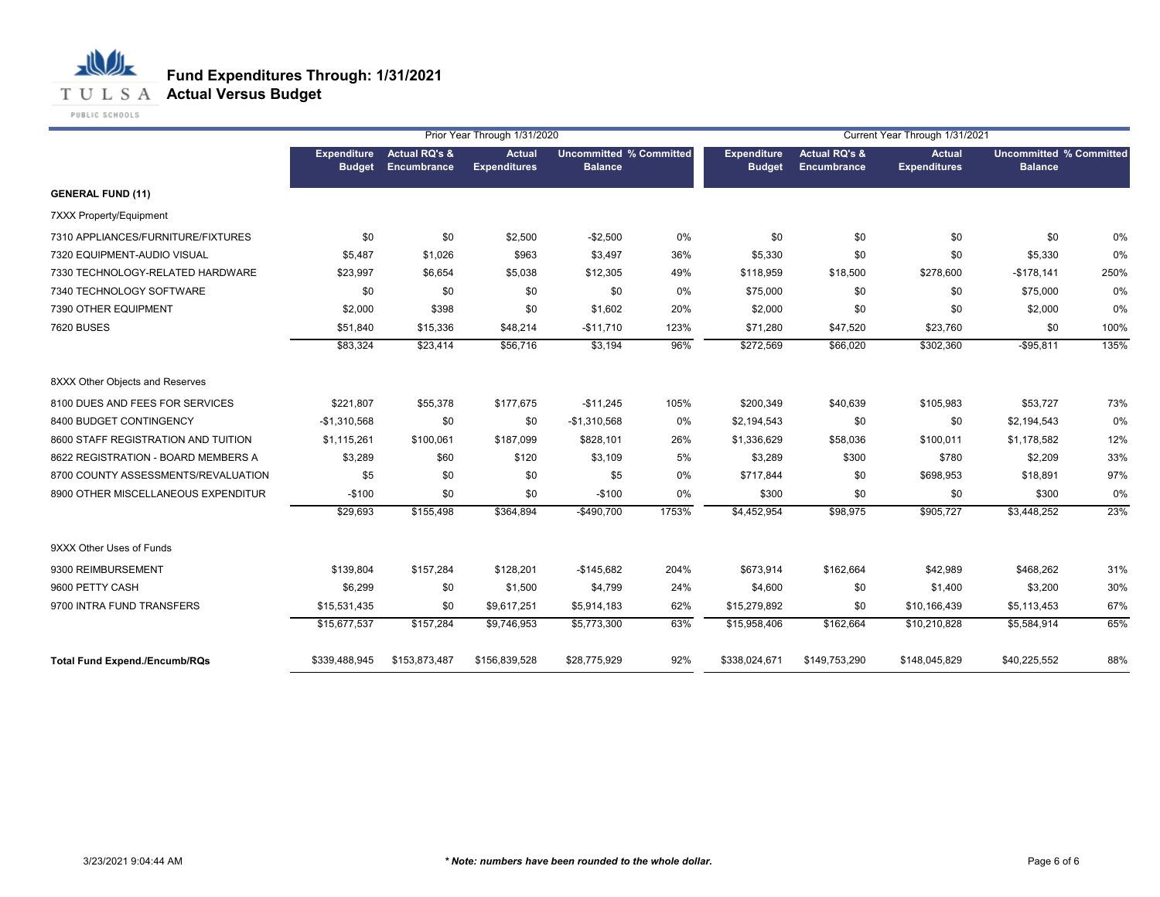## **T U L S A Actual Versus Budget**

PUBLIC SCHOOLS

|                                      |                                     |                                                | Prior Year Through 1/31/2020  |                                                  |       |                              |                                                | Current Year Through 1/31/2021       |                                                  |      |
|--------------------------------------|-------------------------------------|------------------------------------------------|-------------------------------|--------------------------------------------------|-------|------------------------------|------------------------------------------------|--------------------------------------|--------------------------------------------------|------|
|                                      | <b>Expenditure</b><br><b>Budget</b> | <b>Actual RQ's &amp;</b><br><b>Encumbrance</b> | Actual<br><b>Expenditures</b> | <b>Uncommitted % Committed</b><br><b>Balance</b> |       | Expenditure<br><b>Budget</b> | <b>Actual RQ's &amp;</b><br><b>Encumbrance</b> | <b>Actual</b><br><b>Expenditures</b> | <b>Uncommitted % Committed</b><br><b>Balance</b> |      |
| <b>GENERAL FUND (11)</b>             |                                     |                                                |                               |                                                  |       |                              |                                                |                                      |                                                  |      |
| 7XXX Property/Equipment              |                                     |                                                |                               |                                                  |       |                              |                                                |                                      |                                                  |      |
| 7310 APPLIANCES/FURNITURE/FIXTURES   | \$0                                 | \$0                                            | \$2,500                       | $-$2,500$                                        | 0%    | \$0                          | \$0                                            | \$0                                  | \$0                                              | 0%   |
| 7320 EQUIPMENT-AUDIO VISUAL          | \$5,487                             | \$1,026                                        | \$963                         | \$3,497                                          | 36%   | \$5,330                      | \$0                                            | \$0                                  | \$5,330                                          | 0%   |
| 7330 TECHNOLOGY-RELATED HARDWARE     | \$23,997                            | \$6,654                                        | \$5,038                       | \$12,305                                         | 49%   | \$118,959                    | \$18,500                                       | \$278,600                            | $-$178,141$                                      | 250% |
| 7340 TECHNOLOGY SOFTWARE             | \$0                                 | \$0                                            | \$0                           | \$0                                              | 0%    | \$75,000                     | \$0                                            | \$0                                  | \$75,000                                         | 0%   |
| 7390 OTHER EQUIPMENT                 | \$2,000                             | \$398                                          | \$0                           | \$1,602                                          | 20%   | \$2,000                      | \$0                                            | \$0                                  | \$2,000                                          | 0%   |
| <b>7620 BUSES</b>                    | \$51,840                            | \$15,336                                       | \$48,214                      | $-$11,710$                                       | 123%  | \$71,280                     | \$47,520                                       | \$23,760                             | \$0                                              | 100% |
|                                      | \$83,324                            | \$23,414                                       | \$56,716                      | \$3,194                                          | 96%   | \$272,569                    | \$66,020                                       | \$302,360                            | $-$95,811$                                       | 135% |
| 8XXX Other Objects and Reserves      |                                     |                                                |                               |                                                  |       |                              |                                                |                                      |                                                  |      |
| 8100 DUES AND FEES FOR SERVICES      | \$221,807                           | \$55,378                                       | \$177,675                     | $-$11,245$                                       | 105%  | \$200,349                    | \$40,639                                       | \$105,983                            | \$53,727                                         | 73%  |
| 8400 BUDGET CONTINGENCY              | $-$1,310,568$                       | \$0                                            | \$0                           | $-$1,310,568$                                    | 0%    | \$2,194,543                  | \$0                                            | \$0                                  | \$2,194,543                                      | 0%   |
| 8600 STAFF REGISTRATION AND TUITION  | \$1,115,261                         | \$100,061                                      | \$187,099                     | \$828,101                                        | 26%   | \$1,336,629                  | \$58,036                                       | \$100,011                            | \$1,178,582                                      | 12%  |
| 8622 REGISTRATION - BOARD MEMBERS A  | \$3,289                             | \$60                                           | \$120                         | \$3,109                                          | 5%    | \$3,289                      | \$300                                          | \$780                                | \$2,209                                          | 33%  |
| 8700 COUNTY ASSESSMENTS/REVALUATION  | \$5                                 | \$0                                            | \$0                           | \$5                                              | 0%    | \$717,844                    | \$0                                            | \$698,953                            | \$18,891                                         | 97%  |
| 8900 OTHER MISCELLANEOUS EXPENDITUR  | $-$100$                             | \$0                                            | \$0                           | $-$100$                                          | 0%    | \$300                        | \$0                                            | \$0                                  | \$300                                            | 0%   |
|                                      | \$29,693                            | \$155,498                                      | \$364,894                     | $-$490,700$                                      | 1753% | \$4,452,954                  | \$98,975                                       | \$905,727                            | \$3,448,252                                      | 23%  |
| 9XXX Other Uses of Funds             |                                     |                                                |                               |                                                  |       |                              |                                                |                                      |                                                  |      |
| 9300 REIMBURSEMENT                   | \$139,804                           | \$157,284                                      | \$128,201                     | $-$145,682$                                      | 204%  | \$673,914                    | \$162,664                                      | \$42,989                             | \$468,262                                        | 31%  |
| 9600 PETTY CASH                      | \$6,299                             | \$0                                            | \$1,500                       | \$4,799                                          | 24%   | \$4,600                      | \$0                                            | \$1,400                              | \$3,200                                          | 30%  |
| 9700 INTRA FUND TRANSFERS            | \$15,531,435                        | \$0                                            | \$9,617,251                   | \$5,914,183                                      | 62%   | \$15,279,892                 | \$0                                            | \$10,166,439                         | \$5,113,453                                      | 67%  |
|                                      | \$15,677,537                        | \$157,284                                      | \$9,746,953                   | \$5,773,300                                      | 63%   | \$15,958,406                 | \$162,664                                      | \$10,210,828                         | \$5,584,914                                      | 65%  |
| <b>Total Fund Expend./Encumb/RQs</b> | \$339,488,945                       | \$153,873,487                                  | \$156,839,528                 | \$28,775,929                                     | 92%   | \$338,024,671                | \$149,753,290                                  | \$148,045,829                        | \$40,225,552                                     | 88%  |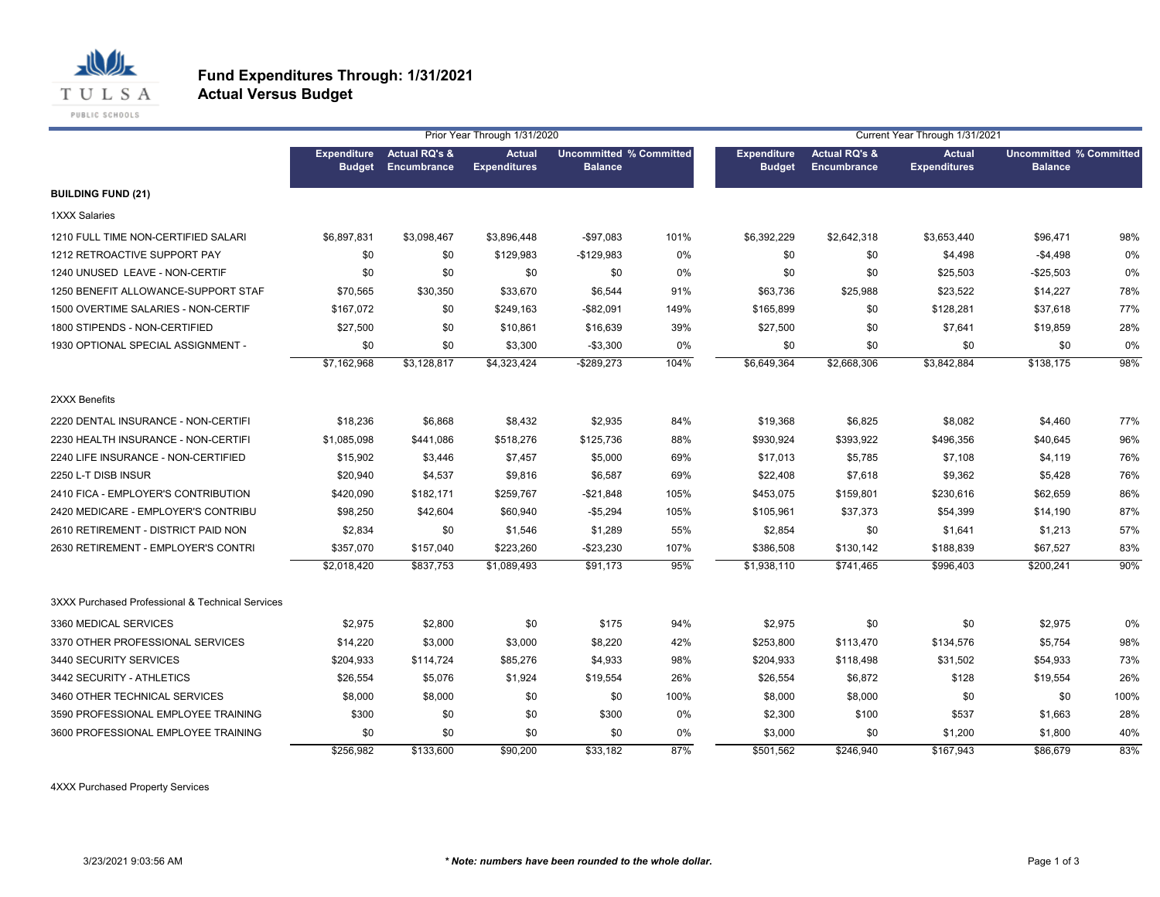

#### **Fund Expenditures Through: 1/31/2021 Actual Versus Budget**

|                                                  |                                     |                                         | Prior Year Through 1/31/2020  |                                                  |      |                                     |                                                | Current Year Through 1/31/2021       |                                                  |      |
|--------------------------------------------------|-------------------------------------|-----------------------------------------|-------------------------------|--------------------------------------------------|------|-------------------------------------|------------------------------------------------|--------------------------------------|--------------------------------------------------|------|
|                                                  | <b>Expenditure</b><br><b>Budget</b> | <b>Actual RQ's &amp;</b><br>Encumbrance | Actual<br><b>Expenditures</b> | <b>Uncommitted % Committed</b><br><b>Balance</b> |      | <b>Expenditure</b><br><b>Budget</b> | <b>Actual RQ's &amp;</b><br><b>Encumbrance</b> | <b>Actual</b><br><b>Expenditures</b> | <b>Uncommitted % Committed</b><br><b>Balance</b> |      |
| <b>BUILDING FUND (21)</b>                        |                                     |                                         |                               |                                                  |      |                                     |                                                |                                      |                                                  |      |
| <b>1XXX Salaries</b>                             |                                     |                                         |                               |                                                  |      |                                     |                                                |                                      |                                                  |      |
| 1210 FULL TIME NON-CERTIFIED SALARI              | \$6,897,831                         | \$3,098,467                             | \$3,896,448                   | $-$97,083$                                       | 101% | \$6,392,229                         | \$2,642,318                                    | \$3,653,440                          | \$96,471                                         | 98%  |
| 1212 RETROACTIVE SUPPORT PAY                     | \$0                                 | \$0                                     | \$129,983                     | $-$129,983$                                      | 0%   | \$0                                 | \$0                                            | \$4,498                              | $-$4,498$                                        | 0%   |
| 1240 UNUSED LEAVE - NON-CERTIF                   | \$0                                 | \$0                                     | \$0                           | \$0                                              | 0%   | \$0                                 | \$0                                            | \$25,503                             | $-$25,503$                                       | 0%   |
| 1250 BENEFIT ALLOWANCE-SUPPORT STAF              | \$70,565                            | \$30,350                                | \$33,670                      | \$6,544                                          | 91%  | \$63,736                            | \$25,988                                       | \$23,522                             | \$14,227                                         | 78%  |
| 1500 OVERTIME SALARIES - NON-CERTIF              | \$167,072                           | \$0                                     | \$249,163                     | $-$ \$82,091                                     | 149% | \$165,899                           | \$0                                            | \$128,281                            | \$37,618                                         | 77%  |
| 1800 STIPENDS - NON-CERTIFIED                    | \$27,500                            | \$0                                     | \$10,861                      | \$16,639                                         | 39%  | \$27,500                            | \$0                                            | \$7,641                              | \$19,859                                         | 28%  |
| 1930 OPTIONAL SPECIAL ASSIGNMENT -               | \$0                                 | \$0                                     | \$3,300                       | $-$3,300$                                        | 0%   | \$0                                 | \$0                                            | \$0                                  | \$0                                              | 0%   |
|                                                  | \$7,162,968                         | \$3,128,817                             | \$4,323,424                   | $-$ \$289,273                                    | 104% | \$6,649,364                         | \$2,668,306                                    | \$3,842,884                          | \$138,175                                        | 98%  |
| 2XXX Benefits                                    |                                     |                                         |                               |                                                  |      |                                     |                                                |                                      |                                                  |      |
| 2220 DENTAL INSURANCE - NON-CERTIFI              | \$18,236                            | \$6,868                                 | \$8,432                       | \$2,935                                          | 84%  | \$19,368                            | \$6,825                                        | \$8,082                              | \$4,460                                          | 77%  |
| 2230 HEALTH INSURANCE - NON-CERTIFI              | \$1,085,098                         | \$441,086                               | \$518,276                     | \$125,736                                        | 88%  | \$930,924                           | \$393,922                                      | \$496,356                            | \$40,645                                         | 96%  |
| 2240 LIFE INSURANCE - NON-CERTIFIED              | \$15,902                            | \$3,446                                 | \$7,457                       | \$5,000                                          | 69%  | \$17,013                            | \$5,785                                        | \$7,108                              | \$4,119                                          | 76%  |
| 2250 L-T DISB INSUR                              | \$20,940                            | \$4,537                                 | \$9,816                       | \$6,587                                          | 69%  | \$22,408                            | \$7,618                                        | \$9,362                              | \$5,428                                          | 76%  |
| 2410 FICA - EMPLOYER'S CONTRIBUTION              | \$420,090                           | \$182,171                               | \$259,767                     | $-$21,848$                                       | 105% | \$453,075                           | \$159,801                                      | \$230,616                            | \$62,659                                         | 86%  |
| 2420 MEDICARE - EMPLOYER'S CONTRIBU              | \$98,250                            | \$42,604                                | \$60,940                      | $-$5,294$                                        | 105% | \$105,961                           | \$37,373                                       | \$54,399                             | \$14,190                                         | 87%  |
| 2610 RETIREMENT - DISTRICT PAID NON              | \$2,834                             | \$0                                     | \$1,546                       | \$1,289                                          | 55%  | \$2,854                             | \$0                                            | \$1,641                              | \$1,213                                          | 57%  |
| 2630 RETIREMENT - EMPLOYER'S CONTRI              | \$357,070                           | \$157,040                               | \$223,260                     | $-$23,230$                                       | 107% | \$386,508                           | \$130,142                                      | \$188,839                            | \$67,527                                         | 83%  |
|                                                  | \$2,018,420                         | \$837,753                               | \$1,089,493                   | \$91.173                                         | 95%  | \$1,938,110                         | \$741,465                                      | \$996,403                            | \$200,241                                        | 90%  |
| 3XXX Purchased Professional & Technical Services |                                     |                                         |                               |                                                  |      |                                     |                                                |                                      |                                                  |      |
| 3360 MEDICAL SERVICES                            | \$2,975                             | \$2,800                                 | \$0                           | \$175                                            | 94%  | \$2,975                             | \$0                                            | \$0                                  | \$2,975                                          | 0%   |
| 3370 OTHER PROFESSIONAL SERVICES                 | \$14,220                            | \$3,000                                 | \$3,000                       | \$8,220                                          | 42%  | \$253,800                           | \$113,470                                      | \$134,576                            | \$5,754                                          | 98%  |
| 3440 SECURITY SERVICES                           | \$204,933                           | \$114,724                               | \$85,276                      | \$4,933                                          | 98%  | \$204,933                           | \$118,498                                      | \$31,502                             | \$54,933                                         | 73%  |
| 3442 SECURITY - ATHLETICS                        | \$26,554                            | \$5,076                                 | \$1,924                       | \$19,554                                         | 26%  | \$26,554                            | \$6,872                                        | \$128                                | \$19,554                                         | 26%  |
| 3460 OTHER TECHNICAL SERVICES                    | \$8,000                             | \$8,000                                 | \$0                           | \$0                                              | 100% | \$8,000                             | \$8,000                                        | \$0                                  | \$0                                              | 100% |
| 3590 PROFESSIONAL EMPLOYEE TRAINING              | \$300                               | \$0                                     | \$0                           | \$300                                            | 0%   | \$2,300                             | \$100                                          | \$537                                | \$1,663                                          | 28%  |
| 3600 PROFESSIONAL EMPLOYEE TRAINING              | \$0                                 | \$0                                     | \$0                           | \$0                                              | 0%   | \$3,000                             | \$0                                            | \$1,200                              | \$1,800                                          | 40%  |
|                                                  | \$256,982                           | \$133,600                               | \$90,200                      | \$33,182                                         | 87%  | \$501,562                           | \$246,940                                      | \$167,943                            | \$86,679                                         | 83%  |

4XXX Purchased Property Services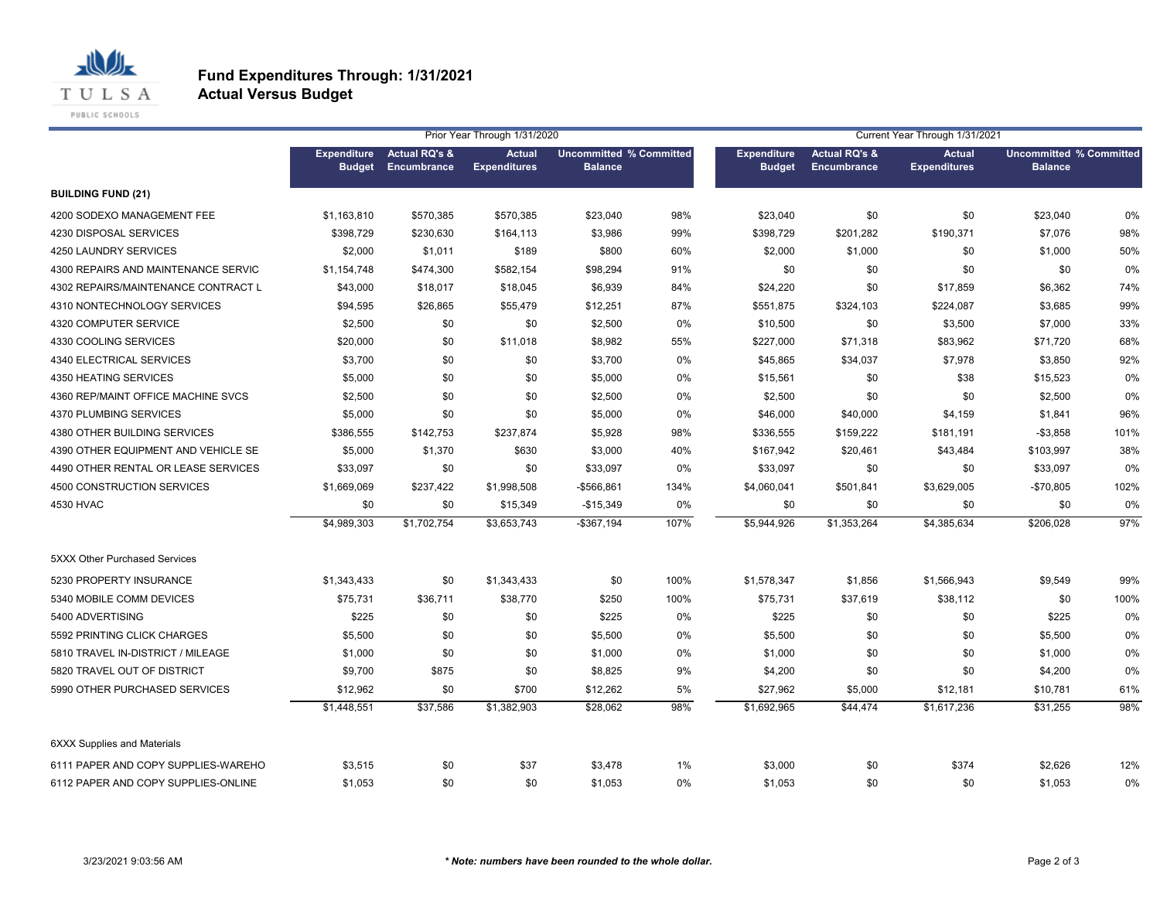

#### **Fund Expenditures Through: 1/31/2021 Actual Versus Budget**

|                                      |                                     |                                         | Prior Year Through 1/31/2020         |                                                  |      | Current Year Through 1/31/2021      |                                                |                                      |                                                  |      |
|--------------------------------------|-------------------------------------|-----------------------------------------|--------------------------------------|--------------------------------------------------|------|-------------------------------------|------------------------------------------------|--------------------------------------|--------------------------------------------------|------|
|                                      | <b>Expenditure</b><br><b>Budget</b> | <b>Actual RQ's &amp;</b><br>Encumbrance | <b>Actual</b><br><b>Expenditures</b> | <b>Uncommitted % Committed</b><br><b>Balance</b> |      | <b>Expenditure</b><br><b>Budget</b> | <b>Actual RQ's &amp;</b><br><b>Encumbrance</b> | <b>Actual</b><br><b>Expenditures</b> | <b>Uncommitted % Committed</b><br><b>Balance</b> |      |
| <b>BUILDING FUND (21)</b>            |                                     |                                         |                                      |                                                  |      |                                     |                                                |                                      |                                                  |      |
| 4200 SODEXO MANAGEMENT FEE           | \$1,163,810                         | \$570,385                               | \$570,385                            | \$23,040                                         | 98%  | \$23,040                            | \$0                                            | \$0                                  | \$23,040                                         | 0%   |
| 4230 DISPOSAL SERVICES               | \$398,729                           | \$230,630                               | \$164,113                            | \$3,986                                          | 99%  | \$398,729                           | \$201,282                                      | \$190,371                            | \$7,076                                          | 98%  |
| 4250 LAUNDRY SERVICES                | \$2,000                             | \$1,011                                 | \$189                                | \$800                                            | 60%  | \$2,000                             | \$1,000                                        | \$0                                  | \$1,000                                          | 50%  |
| 4300 REPAIRS AND MAINTENANCE SERVIC  | \$1,154,748                         | \$474,300                               | \$582,154                            | \$98,294                                         | 91%  | \$0                                 | \$0                                            | \$0                                  | \$0                                              | 0%   |
| 4302 REPAIRS/MAINTENANCE CONTRACT L  | \$43,000                            | \$18,017                                | \$18,045                             | \$6,939                                          | 84%  | \$24,220                            | \$0                                            | \$17,859                             | \$6,362                                          | 74%  |
| 4310 NONTECHNOLOGY SERVICES          | \$94,595                            | \$26,865                                | \$55,479                             | \$12,251                                         | 87%  | \$551,875                           | \$324,103                                      | \$224,087                            | \$3,685                                          | 99%  |
| 4320 COMPUTER SERVICE                | \$2,500                             | \$0                                     | \$0                                  | \$2,500                                          | 0%   | \$10,500                            | \$0                                            | \$3,500                              | \$7,000                                          | 33%  |
| 4330 COOLING SERVICES                | \$20,000                            | \$0                                     | \$11,018                             | \$8,982                                          | 55%  | \$227,000                           | \$71,318                                       | \$83,962                             | \$71,720                                         | 68%  |
| 4340 ELECTRICAL SERVICES             | \$3,700                             | \$0                                     | \$0                                  | \$3,700                                          | 0%   | \$45,865                            | \$34,037                                       | \$7,978                              | \$3,850                                          | 92%  |
| 4350 HEATING SERVICES                | \$5,000                             | \$0                                     | \$0                                  | \$5,000                                          | 0%   | \$15,561                            | \$0                                            | \$38                                 | \$15,523                                         | 0%   |
| 4360 REP/MAINT OFFICE MACHINE SVCS   | \$2,500                             | \$0                                     | \$0                                  | \$2,500                                          | 0%   | \$2,500                             | \$0                                            | \$0                                  | \$2,500                                          | 0%   |
| 4370 PLUMBING SERVICES               | \$5,000                             | \$0                                     | \$0                                  | \$5,000                                          | 0%   | \$46,000                            | \$40,000                                       | \$4,159                              | \$1,841                                          | 96%  |
| 4380 OTHER BUILDING SERVICES         | \$386,555                           | \$142,753                               | \$237,874                            | \$5,928                                          | 98%  | \$336,555                           | \$159,222                                      | \$181,191                            | $-$ \$3,858                                      | 101% |
| 4390 OTHER EQUIPMENT AND VEHICLE SE  | \$5,000                             | \$1,370                                 | \$630                                | \$3,000                                          | 40%  | \$167,942                           | \$20,461                                       | \$43,484                             | \$103,997                                        | 38%  |
| 4490 OTHER RENTAL OR LEASE SERVICES  | \$33,097                            | \$0                                     | \$0                                  | \$33,097                                         | 0%   | \$33,097                            | \$0                                            | \$0                                  | \$33,097                                         | 0%   |
| 4500 CONSTRUCTION SERVICES           | \$1,669,069                         | \$237,422                               | \$1,998,508                          | -\$566,861                                       | 134% | \$4,060,041                         | \$501,841                                      | \$3,629,005                          | $-$70,805$                                       | 102% |
| 4530 HVAC                            | \$0                                 | \$0                                     | \$15,349                             | $-$15,349$                                       | 0%   | \$0                                 | \$0                                            | \$0                                  | \$0                                              | 0%   |
|                                      | \$4,989,303                         | \$1,702,754                             | \$3,653,743                          | $-$367,194$                                      | 107% | \$5,944,926                         | \$1,353,264                                    | \$4,385,634                          | \$206,028                                        | 97%  |
| <b>5XXX Other Purchased Services</b> |                                     |                                         |                                      |                                                  |      |                                     |                                                |                                      |                                                  |      |
| 5230 PROPERTY INSURANCE              | \$1,343,433                         | \$0                                     | \$1,343,433                          | \$0                                              | 100% | \$1,578,347                         | \$1,856                                        | \$1,566,943                          | \$9,549                                          | 99%  |
| 5340 MOBILE COMM DEVICES             | \$75,731                            | \$36,711                                | \$38,770                             | \$250                                            | 100% | \$75,731                            | \$37,619                                       | \$38,112                             | \$0                                              | 100% |
| 5400 ADVERTISING                     | \$225                               | \$0                                     | \$0                                  | \$225                                            | 0%   | \$225                               | \$0                                            | \$0                                  | \$225                                            | 0%   |
| 5592 PRINTING CLICK CHARGES          | \$5,500                             | \$0                                     | \$0                                  | \$5,500                                          | 0%   | \$5,500                             | \$0                                            | \$0                                  | \$5,500                                          | 0%   |
| 5810 TRAVEL IN-DISTRICT / MILEAGE    | \$1,000                             | \$0                                     | \$0                                  | \$1,000                                          | 0%   | \$1,000                             | \$0                                            | \$0                                  | \$1,000                                          | 0%   |
| 5820 TRAVEL OUT OF DISTRICT          | \$9,700                             | \$875                                   | \$0                                  | \$8,825                                          | 9%   | \$4,200                             | \$0                                            | \$0                                  | \$4,200                                          | 0%   |
| 5990 OTHER PURCHASED SERVICES        | \$12,962                            | \$0                                     | \$700                                | \$12,262                                         | 5%   | \$27,962                            | \$5,000                                        | \$12,181                             | \$10,781                                         | 61%  |
|                                      | \$1,448,551                         | \$37,586                                | \$1,382,903                          | \$28,062                                         | 98%  | \$1,692,965                         | \$44,474                                       | \$1,617,236                          | \$31,255                                         | 98%  |
| <b>6XXX Supplies and Materials</b>   |                                     |                                         |                                      |                                                  |      |                                     |                                                |                                      |                                                  |      |
| 6111 PAPER AND COPY SUPPLIES-WAREHO  | \$3,515                             | \$0                                     | \$37                                 | \$3,478                                          | 1%   | \$3,000                             | \$0                                            | \$374                                | \$2,626                                          | 12%  |
| 6112 PAPER AND COPY SUPPLIES-ONLINE  | \$1,053                             | \$0                                     | \$0                                  | \$1,053                                          | 0%   | \$1,053                             | \$0                                            | \$0                                  | \$1,053                                          | 0%   |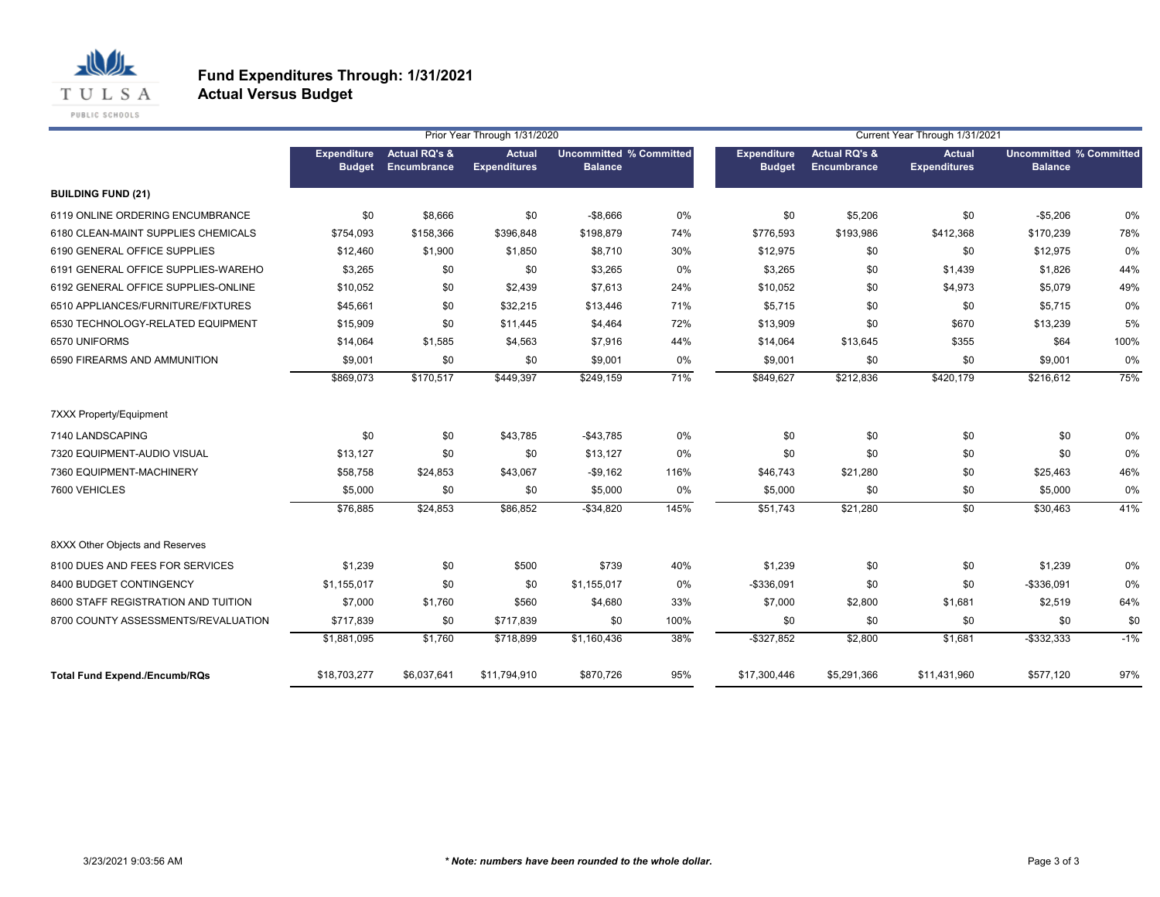

#### **Fund Expenditures Through: 1/31/2021 Actual Versus Budget**

|                                      |                                     | Prior Year Through 1/31/2020            |                                      |                                                  |      |                                     | Current Year Through 1/31/2021          |                                      |                                                  |       |  |  |
|--------------------------------------|-------------------------------------|-----------------------------------------|--------------------------------------|--------------------------------------------------|------|-------------------------------------|-----------------------------------------|--------------------------------------|--------------------------------------------------|-------|--|--|
|                                      | <b>Expenditure</b><br><b>Budget</b> | <b>Actual RQ's &amp;</b><br>Encumbrance | <b>Actual</b><br><b>Expenditures</b> | <b>Uncommitted % Committed</b><br><b>Balance</b> |      | <b>Expenditure</b><br><b>Budget</b> | <b>Actual RQ's &amp;</b><br>Encumbrance | <b>Actual</b><br><b>Expenditures</b> | <b>Uncommitted % Committed</b><br><b>Balance</b> |       |  |  |
| <b>BUILDING FUND (21)</b>            |                                     |                                         |                                      |                                                  |      |                                     |                                         |                                      |                                                  |       |  |  |
| 6119 ONLINE ORDERING ENCUMBRANCE     | \$0                                 | \$8,666                                 | \$0                                  | $-$8,666$                                        | 0%   | \$0                                 | \$5,206                                 | \$0                                  | $-$5,206$                                        | 0%    |  |  |
| 6180 CLEAN-MAINT SUPPLIES CHEMICALS  | \$754,093                           | \$158,366                               | \$396,848                            | \$198,879                                        | 74%  | \$776,593                           | \$193,986                               | \$412,368                            | \$170,239                                        | 78%   |  |  |
| 6190 GENERAL OFFICE SUPPLIES         | \$12,460                            | \$1,900                                 | \$1,850                              | \$8,710                                          | 30%  | \$12,975                            | \$0                                     | \$0                                  | \$12,975                                         | 0%    |  |  |
| 6191 GENERAL OFFICE SUPPLIES-WAREHO  | \$3,265                             | \$0                                     | \$0                                  | \$3,265                                          | 0%   | \$3,265                             | \$0                                     | \$1,439                              | \$1,826                                          | 44%   |  |  |
| 6192 GENERAL OFFICE SUPPLIES-ONLINE  | \$10,052                            | \$0                                     | \$2,439                              | \$7,613                                          | 24%  | \$10,052                            | \$0                                     | \$4,973                              | \$5,079                                          | 49%   |  |  |
| 6510 APPLIANCES/FURNITURE/FIXTURES   | \$45,661                            | \$0                                     | \$32,215                             | \$13,446                                         | 71%  | \$5,715                             | \$0                                     | \$0                                  | \$5,715                                          | 0%    |  |  |
| 6530 TECHNOLOGY-RELATED EQUIPMENT    | \$15,909                            | \$0                                     | \$11,445                             | \$4,464                                          | 72%  | \$13,909                            | \$0                                     | \$670                                | \$13,239                                         | 5%    |  |  |
| 6570 UNIFORMS                        | \$14,064                            | \$1,585                                 | \$4,563                              | \$7,916                                          | 44%  | \$14,064                            | \$13,645                                | \$355                                | \$64                                             | 100%  |  |  |
| 6590 FIREARMS AND AMMUNITION         | \$9,001                             | \$0                                     | \$0                                  | \$9,001                                          | 0%   | \$9,001                             | \$0                                     | \$0                                  | \$9,001                                          | 0%    |  |  |
|                                      | \$869,073                           | \$170,517                               | \$449,397                            | \$249,159                                        | 71%  | \$849,627                           | \$212,836                               | \$420,179                            | \$216,612                                        | 75%   |  |  |
| <b>7XXX Property/Equipment</b>       |                                     |                                         |                                      |                                                  |      |                                     |                                         |                                      |                                                  |       |  |  |
| 7140 LANDSCAPING                     | \$0                                 | \$0                                     | \$43,785                             | $-$43,785$                                       | 0%   | \$0                                 | \$0                                     | \$0                                  | \$0                                              | 0%    |  |  |
| 7320 EQUIPMENT-AUDIO VISUAL          | \$13,127                            | \$0                                     | \$0                                  | \$13,127                                         | 0%   | \$0                                 | \$0                                     | \$0                                  | \$0                                              | 0%    |  |  |
| 7360 EQUIPMENT-MACHINERY             | \$58,758                            | \$24,853                                | \$43,067                             | $-$9,162$                                        | 116% | \$46,743                            | \$21,280                                | \$0                                  | \$25,463                                         | 46%   |  |  |
| 7600 VEHICLES                        | \$5,000                             | \$0                                     | \$0                                  | \$5,000                                          | 0%   | \$5,000                             | \$0                                     | \$0                                  | \$5,000                                          | 0%    |  |  |
|                                      | \$76,885                            | \$24,853                                | \$86,852                             | $-$34,820$                                       | 145% | \$51,743                            | \$21,280                                | \$0                                  | \$30,463                                         | 41%   |  |  |
| 8XXX Other Objects and Reserves      |                                     |                                         |                                      |                                                  |      |                                     |                                         |                                      |                                                  |       |  |  |
| 8100 DUES AND FEES FOR SERVICES      | \$1,239                             | \$0                                     | \$500                                | \$739                                            | 40%  | \$1,239                             | \$0                                     | \$0                                  | \$1,239                                          | 0%    |  |  |
| 8400 BUDGET CONTINGENCY              | \$1,155,017                         | \$0                                     | \$0                                  | \$1,155,017                                      | 0%   | $-$336,091$                         | \$0                                     | \$0                                  | -\$336,091                                       | 0%    |  |  |
| 8600 STAFF REGISTRATION AND TUITION  | \$7,000                             | \$1,760                                 | \$560                                | \$4,680                                          | 33%  | \$7,000                             | \$2,800                                 | \$1,681                              | \$2,519                                          | 64%   |  |  |
| 8700 COUNTY ASSESSMENTS/REVALUATION  | \$717,839                           | \$0                                     | \$717,839                            | \$0                                              | 100% | \$0                                 | \$0                                     | \$0                                  | \$0                                              | \$0   |  |  |
|                                      | \$1,881,095                         | \$1,760                                 | \$718,899                            | \$1,160,436                                      | 38%  | $-$ \$327,852                       | \$2,800                                 | \$1,681                              | $-$ \$332,333                                    | $-1%$ |  |  |
| <b>Total Fund Expend./Encumb/RQs</b> | \$18,703,277                        | \$6,037,641                             | \$11,794,910                         | \$870,726                                        | 95%  | \$17,300,446                        | \$5,291,366                             | \$11,431,960                         | \$577,120                                        | 97%   |  |  |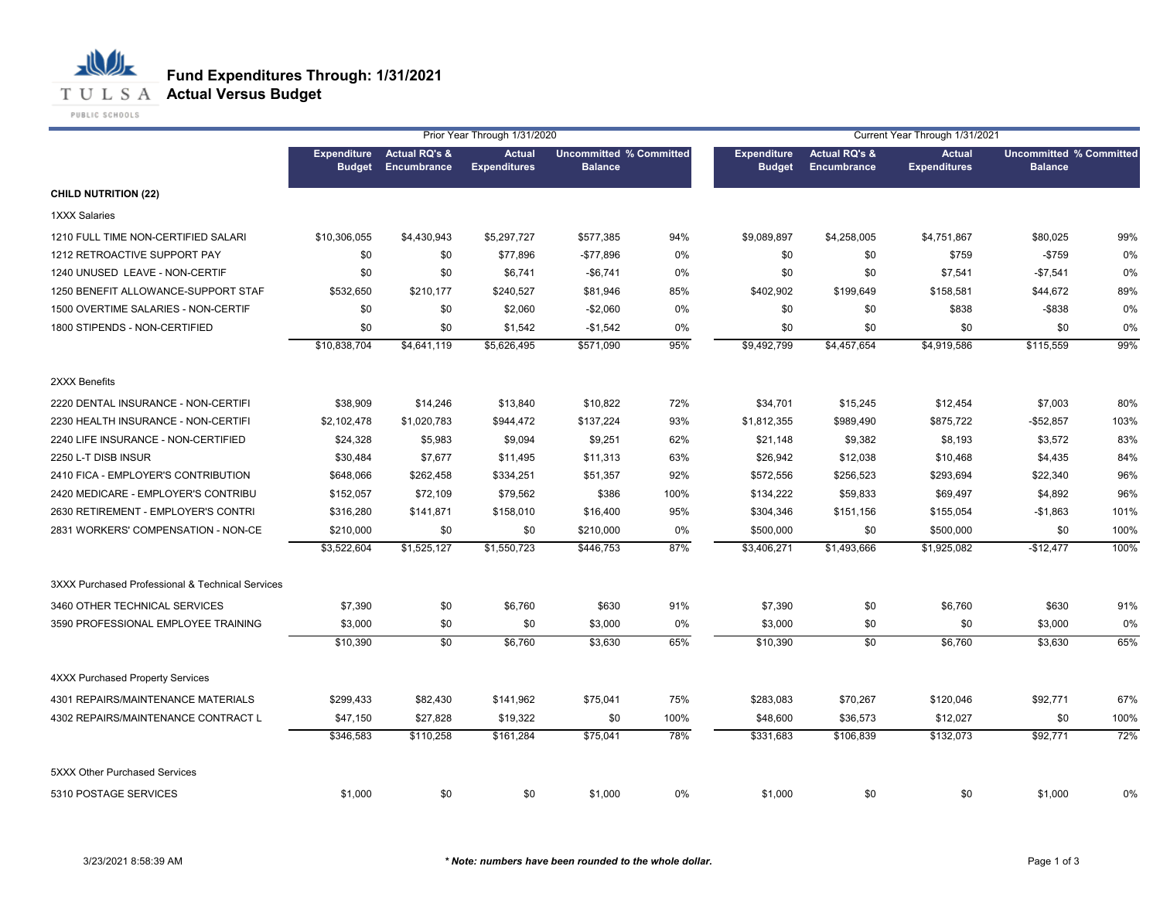

|                                                  |               |                                          | Prior Year Through 1/31/2020         |                                                  |      | Current Year Through 1/31/2021      |                                         |                                      |                                                  |      |
|--------------------------------------------------|---------------|------------------------------------------|--------------------------------------|--------------------------------------------------|------|-------------------------------------|-----------------------------------------|--------------------------------------|--------------------------------------------------|------|
|                                                  | <b>Budget</b> | Expenditure Actual RQ's &<br>Encumbrance | <b>Actual</b><br><b>Expenditures</b> | <b>Uncommitted % Committed</b><br><b>Balance</b> |      | <b>Expenditure</b><br><b>Budget</b> | <b>Actual RQ's &amp;</b><br>Encumbrance | <b>Actual</b><br><b>Expenditures</b> | <b>Uncommitted % Committed</b><br><b>Balance</b> |      |
| <b>CHILD NUTRITION (22)</b>                      |               |                                          |                                      |                                                  |      |                                     |                                         |                                      |                                                  |      |
| 1XXX Salaries                                    |               |                                          |                                      |                                                  |      |                                     |                                         |                                      |                                                  |      |
| 1210 FULL TIME NON-CERTIFIED SALARI              | \$10,306,055  | \$4,430,943                              | \$5,297,727                          | \$577,385                                        | 94%  | \$9,089,897                         | \$4,258,005                             | \$4,751,867                          | \$80,025                                         | 99%  |
| 1212 RETROACTIVE SUPPORT PAY                     | \$0           | \$0                                      | \$77,896                             | $-$77,896$                                       | 0%   | \$0                                 | \$0                                     | \$759                                | $-$759$                                          | 0%   |
| 1240 UNUSED LEAVE - NON-CERTIF                   | \$0           | \$0                                      | \$6,741                              | $-$6,741$                                        | 0%   | \$0                                 | \$0                                     | \$7,541                              | $-$7,541$                                        | 0%   |
| 1250 BENEFIT ALLOWANCE-SUPPORT STAF              | \$532,650     | \$210,177                                | \$240,527                            | \$81,946                                         | 85%  | \$402,902                           | \$199,649                               | \$158,581                            | \$44,672                                         | 89%  |
| 1500 OVERTIME SALARIES - NON-CERTIF              | \$0           | \$0                                      | \$2,060                              | $-$2,060$                                        | 0%   | \$0                                 | \$0                                     | \$838                                | $-$ \$838                                        | 0%   |
| 1800 STIPENDS - NON-CERTIFIED                    | \$0           | \$0                                      | \$1,542                              | $-$1,542$                                        | 0%   | \$0                                 | \$0                                     | \$0                                  | \$0                                              | 0%   |
|                                                  | \$10,838,704  | \$4,641,119                              | \$5,626,495                          | \$571,090                                        | 95%  | \$9,492,799                         | \$4,457,654                             | \$4,919,586                          | \$115,559                                        | 99%  |
| 2XXX Benefits                                    |               |                                          |                                      |                                                  |      |                                     |                                         |                                      |                                                  |      |
| 2220 DENTAL INSURANCE - NON-CERTIFI              | \$38,909      | \$14,246                                 | \$13,840                             | \$10,822                                         | 72%  | \$34,701                            | \$15,245                                | \$12,454                             | \$7,003                                          | 80%  |
| 2230 HEALTH INSURANCE - NON-CERTIFI              | \$2,102,478   | \$1,020,783                              | \$944,472                            | \$137,224                                        | 93%  | \$1,812,355                         | \$989,490                               | \$875,722                            | $-$52,857$                                       | 103% |
| 2240 LIFE INSURANCE - NON-CERTIFIED              | \$24,328      | \$5,983                                  | \$9,094                              | \$9,251                                          | 62%  | \$21,148                            | \$9,382                                 | \$8,193                              | \$3,572                                          | 83%  |
| 2250 L-T DISB INSUR                              | \$30,484      | \$7,677                                  | \$11,495                             | \$11,313                                         | 63%  | \$26,942                            | \$12,038                                | \$10,468                             | \$4,435                                          | 84%  |
| 2410 FICA - EMPLOYER'S CONTRIBUTION              | \$648,066     | \$262,458                                | \$334,251                            | \$51,357                                         | 92%  | \$572,556                           | \$256,523                               | \$293,694                            | \$22,340                                         | 96%  |
| 2420 MEDICARE - EMPLOYER'S CONTRIBU              | \$152,057     | \$72,109                                 | \$79,562                             | \$386                                            | 100% | \$134,222                           | \$59,833                                | \$69,497                             | \$4,892                                          | 96%  |
| 2630 RETIREMENT - EMPLOYER'S CONTRI              | \$316,280     | \$141,871                                | \$158,010                            | \$16,400                                         | 95%  | \$304,346                           | \$151,156                               | \$155,054                            | $-$1,863$                                        | 101% |
| 2831 WORKERS' COMPENSATION - NON-CE              | \$210,000     | \$0                                      | \$0                                  | \$210,000                                        | 0%   | \$500,000                           | \$0                                     | \$500,000                            | \$0                                              | 100% |
|                                                  | \$3,522,604   | \$1,525,127                              | \$1,550,723                          | \$446,753                                        | 87%  | \$3,406,271                         | \$1,493,666                             | \$1,925,082                          | $-$12,477$                                       | 100% |
| 3XXX Purchased Professional & Technical Services |               |                                          |                                      |                                                  |      |                                     |                                         |                                      |                                                  |      |
| 3460 OTHER TECHNICAL SERVICES                    | \$7,390       | \$0                                      | \$6,760                              | \$630                                            | 91%  | \$7,390                             | \$0                                     | \$6,760                              | \$630                                            | 91%  |
| 3590 PROFESSIONAL EMPLOYEE TRAINING              | \$3,000       | \$0                                      | \$0                                  | \$3,000                                          | 0%   | \$3,000                             | \$0                                     | \$0                                  | \$3,000                                          | 0%   |
|                                                  | \$10,390      | $\overline{50}$                          | \$6,760                              | \$3,630                                          | 65%  | \$10,390                            | $\sqrt{6}$                              | \$6,760                              | \$3,630                                          | 65%  |
| <b>4XXX Purchased Property Services</b>          |               |                                          |                                      |                                                  |      |                                     |                                         |                                      |                                                  |      |
| 4301 REPAIRS/MAINTENANCE MATERIALS               | \$299,433     | \$82,430                                 | \$141,962                            | \$75,041                                         | 75%  | \$283,083                           | \$70,267                                | \$120,046                            | \$92,771                                         | 67%  |
| 4302 REPAIRS/MAINTENANCE CONTRACT L              | \$47,150      | \$27,828                                 | \$19,322                             | \$0                                              | 100% | \$48,600                            | \$36,573                                | \$12,027                             | \$0                                              | 100% |
|                                                  | \$346,583     | \$110,258                                | \$161,284                            | \$75,041                                         | 78%  | \$331,683                           | \$106,839                               | \$132,073                            | \$92,771                                         | 72%  |
| 5XXX Other Purchased Services                    |               |                                          |                                      |                                                  |      |                                     |                                         |                                      |                                                  |      |
| 5310 POSTAGE SERVICES                            | \$1,000       | \$0                                      | \$0                                  | \$1,000                                          | 0%   | \$1,000                             | \$0                                     | \$0                                  | \$1,000                                          | 0%   |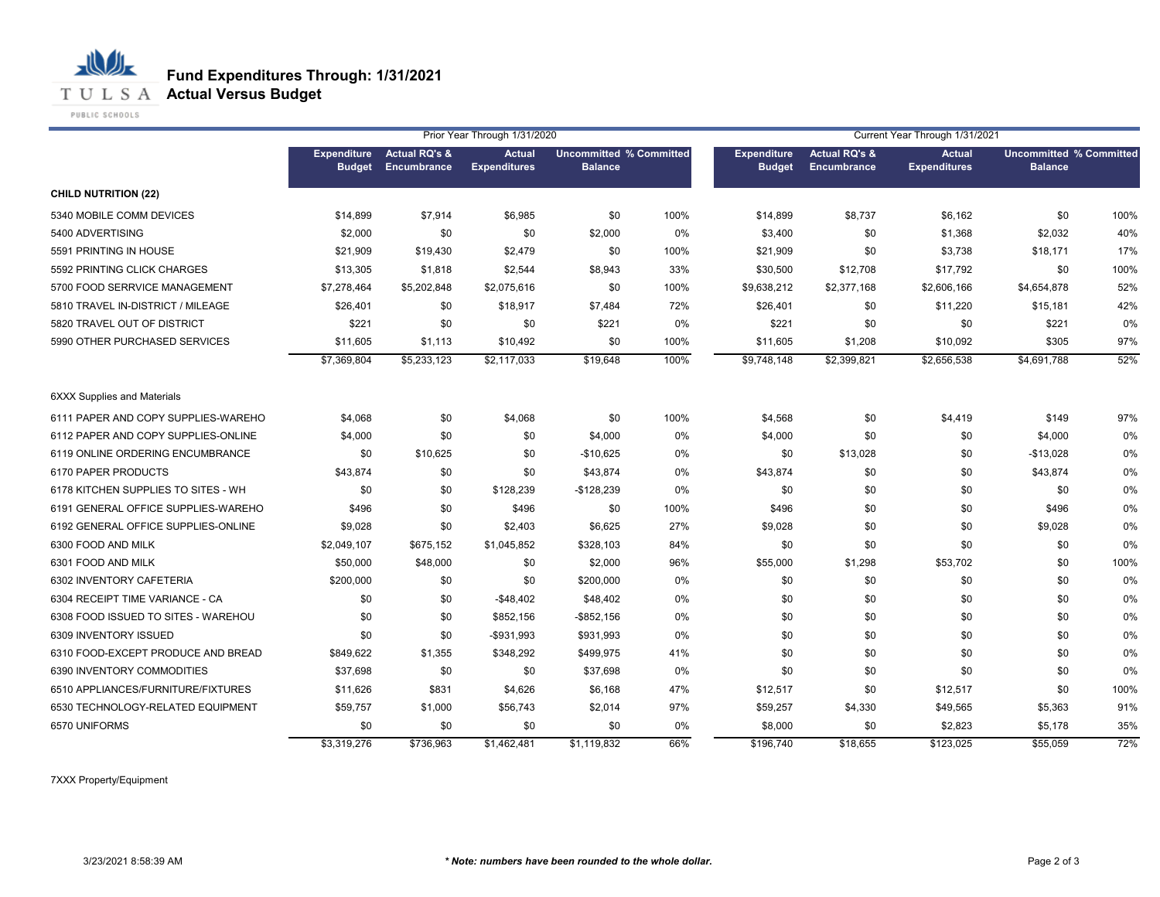

**T U L S A Actual Versus Budget** 

PUBLIC SCHOOLS

|                                     | Prior Year Through 1/31/2020 |                                                 |                                      |                                                  |      |                                     |                                         | Current Year Through 1/31/2021       |                                                  |      |
|-------------------------------------|------------------------------|-------------------------------------------------|--------------------------------------|--------------------------------------------------|------|-------------------------------------|-----------------------------------------|--------------------------------------|--------------------------------------------------|------|
|                                     | <b>Budget</b>                | <b>Expenditure</b> Actual RQ's &<br>Encumbrance | <b>Actual</b><br><b>Expenditures</b> | <b>Uncommitted % Committed</b><br><b>Balance</b> |      | <b>Expenditure</b><br><b>Budget</b> | <b>Actual RQ's &amp;</b><br>Encumbrance | <b>Actual</b><br><b>Expenditures</b> | <b>Uncommitted % Committed</b><br><b>Balance</b> |      |
| <b>CHILD NUTRITION (22)</b>         |                              |                                                 |                                      |                                                  |      |                                     |                                         |                                      |                                                  |      |
| 5340 MOBILE COMM DEVICES            | \$14,899                     | \$7,914                                         | \$6,985                              | \$0                                              | 100% | \$14,899                            | \$8,737                                 | \$6,162                              | \$0                                              | 100% |
| 5400 ADVERTISING                    | \$2,000                      | \$0                                             | \$0                                  | \$2,000                                          | 0%   | \$3,400                             | \$0                                     | \$1,368                              | \$2,032                                          | 40%  |
| 5591 PRINTING IN HOUSE              | \$21,909                     | \$19,430                                        | \$2,479                              | \$0                                              | 100% | \$21,909                            | \$0                                     | \$3,738                              | \$18,171                                         | 17%  |
| 5592 PRINTING CLICK CHARGES         | \$13,305                     | \$1,818                                         | \$2,544                              | \$8,943                                          | 33%  | \$30,500                            | \$12,708                                | \$17,792                             | \$0                                              | 100% |
| 5700 FOOD SERRVICE MANAGEMENT       | \$7,278,464                  | \$5,202,848                                     | \$2,075,616                          | \$0                                              | 100% | \$9,638,212                         | \$2,377,168                             | \$2,606,166                          | \$4,654,878                                      | 52%  |
| 5810 TRAVEL IN-DISTRICT / MILEAGE   | \$26,401                     | \$0                                             | \$18,917                             | \$7,484                                          | 72%  | \$26,401                            | \$0                                     | \$11,220                             | \$15,181                                         | 42%  |
| 5820 TRAVEL OUT OF DISTRICT         | \$221                        | \$0                                             | \$0                                  | \$221                                            | 0%   | \$221                               | \$0                                     | \$0                                  | \$221                                            | 0%   |
| 5990 OTHER PURCHASED SERVICES       | \$11,605                     | \$1,113                                         | \$10,492                             | \$0                                              | 100% | \$11,605                            | \$1,208                                 | \$10,092                             | \$305                                            | 97%  |
|                                     | \$7,369,804                  | \$5,233,123                                     | \$2,117,033                          | \$19,648                                         | 100% | \$9,748,148                         | \$2,399,821                             | \$2,656,538                          | \$4,691,788                                      | 52%  |
| <b>6XXX Supplies and Materials</b>  |                              |                                                 |                                      |                                                  |      |                                     |                                         |                                      |                                                  |      |
| 6111 PAPER AND COPY SUPPLIES-WAREHO | \$4,068                      | \$0                                             | \$4,068                              | \$0                                              | 100% | \$4,568                             | \$0                                     | \$4,419                              | \$149                                            | 97%  |
| 6112 PAPER AND COPY SUPPLIES-ONLINE | \$4,000                      | \$0                                             | \$0                                  | \$4,000                                          | 0%   | \$4,000                             | \$0                                     | \$0                                  | \$4,000                                          | 0%   |
| 6119 ONLINE ORDERING ENCUMBRANCE    | \$0                          | \$10,625                                        | \$0                                  | $-$10,625$                                       | 0%   | \$0                                 | \$13,028                                | \$0                                  | $-$13,028$                                       | 0%   |
| 6170 PAPER PRODUCTS                 | \$43,874                     | \$0                                             | \$0                                  | \$43,874                                         | 0%   | \$43,874                            | \$0                                     | \$0                                  | \$43,874                                         | 0%   |
| 6178 KITCHEN SUPPLIES TO SITES - WH | \$0                          | \$0                                             | \$128,239                            | $-$128,239$                                      | 0%   | \$0                                 | \$0                                     | \$0                                  | \$0                                              | 0%   |
| 6191 GENERAL OFFICE SUPPLIES-WAREHO | \$496                        | \$0                                             | \$496                                | \$0                                              | 100% | \$496                               | \$0                                     | \$0                                  | \$496                                            | 0%   |
| 6192 GENERAL OFFICE SUPPLIES-ONLINE | \$9,028                      | \$0                                             | \$2,403                              | \$6,625                                          | 27%  | \$9,028                             | \$0                                     | \$0                                  | \$9,028                                          | 0%   |
| 6300 FOOD AND MILK                  | \$2,049,107                  | \$675,152                                       | \$1,045,852                          | \$328,103                                        | 84%  | \$0                                 | \$0                                     | \$0                                  | \$0                                              | 0%   |
| 6301 FOOD AND MILK                  | \$50,000                     | \$48,000                                        | \$0                                  | \$2,000                                          | 96%  | \$55,000                            | \$1,298                                 | \$53,702                             | \$0                                              | 100% |
| 6302 INVENTORY CAFETERIA            | \$200,000                    | \$0                                             | \$0                                  | \$200,000                                        | 0%   | \$0                                 | \$0                                     | \$0                                  | \$0                                              | 0%   |
| 6304 RECEIPT TIME VARIANCE - CA     | \$0                          | \$0                                             | $-$48,402$                           | \$48,402                                         | 0%   | \$0                                 | \$0                                     | \$0                                  | \$0                                              | 0%   |
| 6308 FOOD ISSUED TO SITES - WAREHOU | \$0                          | \$0                                             | \$852,156                            | -\$852,156                                       | 0%   | \$0                                 | \$0                                     | \$0                                  | \$0                                              | 0%   |
| 6309 INVENTORY ISSUED               | \$0                          | \$0                                             | -\$931,993                           | \$931,993                                        | 0%   | \$0                                 | \$0                                     | \$0                                  | \$0                                              | 0%   |
| 6310 FOOD-EXCEPT PRODUCE AND BREAD  | \$849,622                    | \$1,355                                         | \$348,292                            | \$499,975                                        | 41%  | \$0                                 | \$0                                     | \$0                                  | \$0                                              | 0%   |
| 6390 INVENTORY COMMODITIES          | \$37,698                     | \$0                                             | \$0                                  | \$37,698                                         | 0%   | \$0                                 | \$0                                     | \$0                                  | \$0                                              | 0%   |
| 6510 APPLIANCES/FURNITURE/FIXTURES  | \$11,626                     | \$831                                           | \$4,626                              | \$6,168                                          | 47%  | \$12,517                            | \$0                                     | \$12,517                             | \$0                                              | 100% |
| 6530 TECHNOLOGY-RELATED EQUIPMENT   | \$59,757                     | \$1,000                                         | \$56,743                             | \$2,014                                          | 97%  | \$59,257                            | \$4,330                                 | \$49,565                             | \$5,363                                          | 91%  |
| 6570 UNIFORMS                       | \$0                          | \$0                                             | \$0                                  | \$0                                              | 0%   | \$8,000                             | \$0                                     | \$2,823                              | \$5.178                                          | 35%  |
|                                     | \$3,319,276                  | \$736,963                                       | \$1,462,481                          | \$1,119,832                                      | 66%  | \$196,740                           | \$18,655                                | \$123,025                            | \$55,059                                         | 72%  |

7XXX Property/Equipment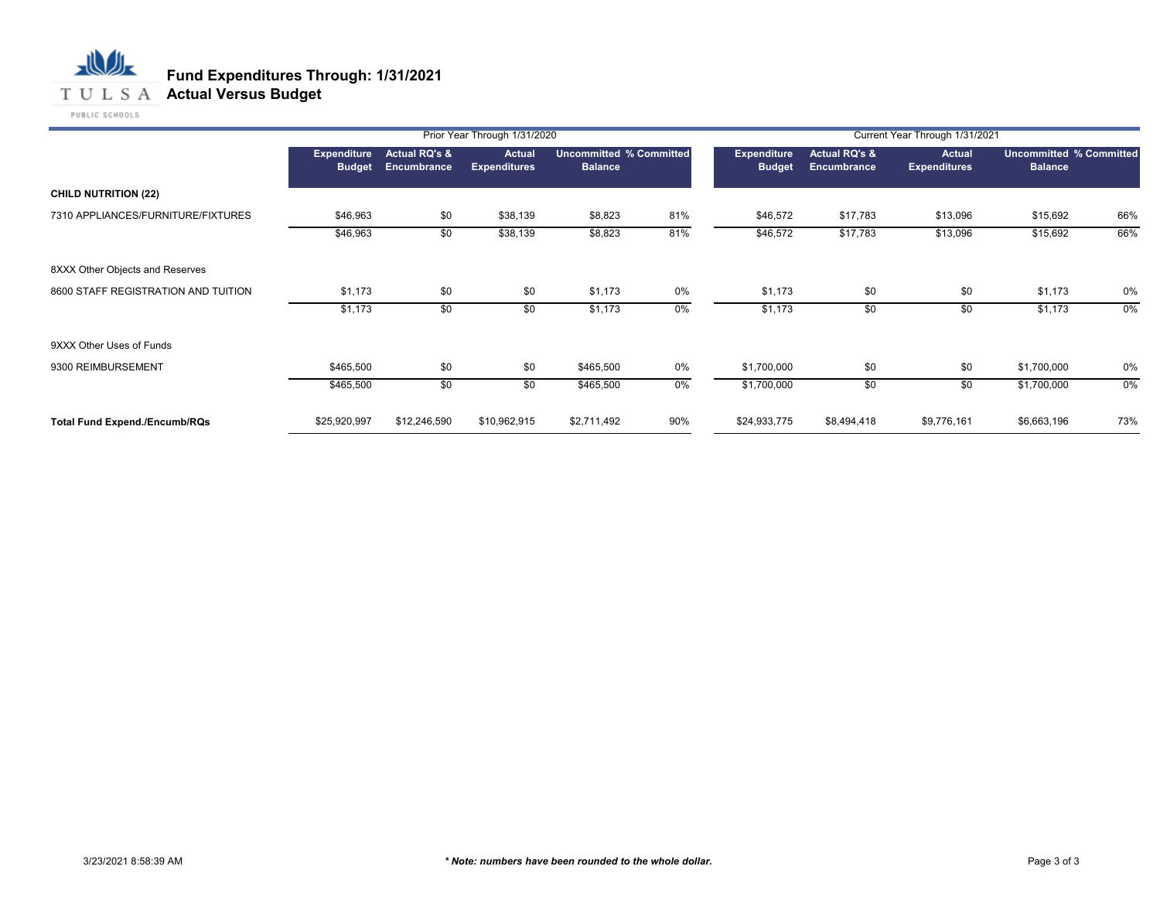## **T U L S A Actual Versus Budget**

|                                      |                                     |                                         | Prior Year Through 1/31/2020         |                                           |       |                                     |                                         | Current Year Through 1/31/2021 |                                                  |       |
|--------------------------------------|-------------------------------------|-----------------------------------------|--------------------------------------|-------------------------------------------|-------|-------------------------------------|-----------------------------------------|--------------------------------|--------------------------------------------------|-------|
|                                      | <b>Expenditure</b><br><b>Budget</b> | <b>Actual RQ's &amp;</b><br>Encumbrance | <b>Actual</b><br><b>Expenditures</b> | Uncommitted % Committed<br><b>Balance</b> |       | <b>Expenditure</b><br><b>Budget</b> | <b>Actual RQ's &amp;</b><br>Encumbrance | Actual<br><b>Expenditures</b>  | <b>Uncommitted % Committed</b><br><b>Balance</b> |       |
| <b>CHILD NUTRITION (22)</b>          |                                     |                                         |                                      |                                           |       |                                     |                                         |                                |                                                  |       |
| 7310 APPLIANCES/FURNITURE/FIXTURES   | \$46,963                            | \$0                                     | \$38,139                             | \$8,823                                   | 81%   | \$46,572                            | \$17,783                                | \$13,096                       | \$15,692                                         | 66%   |
|                                      | \$46,963                            | \$0                                     | \$38,139                             | \$8,823                                   | 81%   | \$46,572                            | \$17,783                                | \$13,096                       | \$15,692                                         | 66%   |
| 8XXX Other Objects and Reserves      |                                     |                                         |                                      |                                           |       |                                     |                                         |                                |                                                  |       |
| 8600 STAFF REGISTRATION AND TUITION  | \$1,173                             | \$0                                     | \$0                                  | \$1,173                                   | 0%    | \$1,173                             | \$0                                     | \$0                            | \$1,173                                          | 0%    |
|                                      | \$1,173                             | \$0                                     | \$0                                  | \$1,173                                   | $0\%$ | \$1,173                             | \$0                                     | \$0                            | \$1,173                                          | $0\%$ |
| 9XXX Other Uses of Funds             |                                     |                                         |                                      |                                           |       |                                     |                                         |                                |                                                  |       |
| 9300 REIMBURSEMENT                   | \$465,500                           | \$0                                     | \$0                                  | \$465,500                                 | 0%    | \$1,700,000                         | \$0                                     | \$0                            | \$1,700,000                                      | 0%    |
|                                      | \$465,500                           | \$0                                     | \$0                                  | \$465,500                                 | 0%    | \$1,700,000                         | \$0                                     | \$0                            | \$1,700,000                                      | 0%    |
| <b>Total Fund Expend./Encumb/RQs</b> | \$25,920,997                        | \$12,246,590                            | \$10,962,915                         | \$2,711,492                               | 90%   | \$24,933,775                        | \$8,494,418                             | \$9,776,161                    | \$6,663,196                                      | 73%   |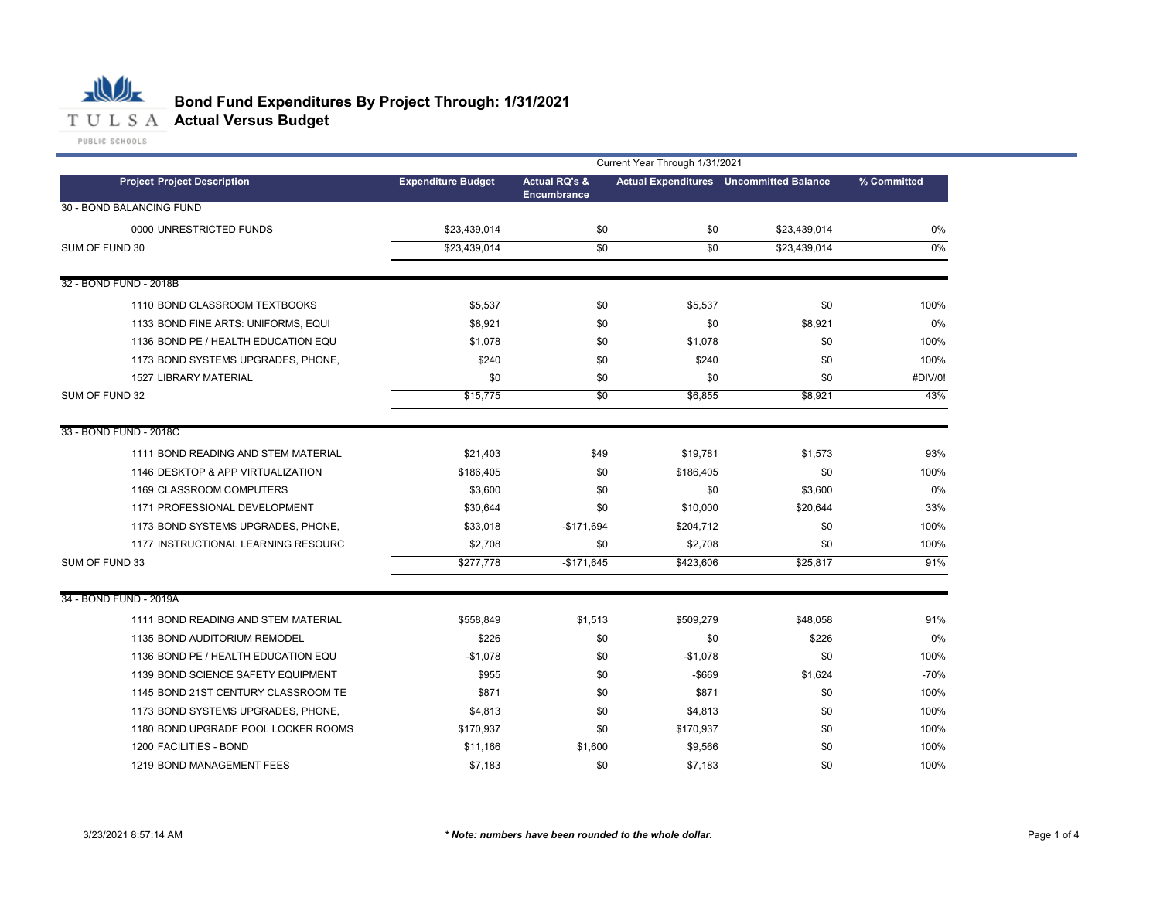

# **Bond Fund Expenditures By Project Through: 1/31/2021**

|                                     | Current Year Through 1/31/2021 |                                                |           |                                                |             |  |  |
|-------------------------------------|--------------------------------|------------------------------------------------|-----------|------------------------------------------------|-------------|--|--|
| <b>Project Project Description</b>  | <b>Expenditure Budget</b>      | <b>Actual RQ's &amp;</b><br><b>Encumbrance</b> |           | <b>Actual Expenditures</b> Uncommitted Balance | % Committed |  |  |
| 30 - BOND BALANCING FUND            |                                |                                                |           |                                                |             |  |  |
| 0000 UNRESTRICTED FUNDS             | \$23,439,014                   | \$0                                            | \$0       | \$23,439,014                                   | 0%          |  |  |
| SUM OF FUND 30                      | \$23,439,014                   | $\overline{50}$                                | \$0       | \$23.439.014                                   | $0\%$       |  |  |
|                                     |                                |                                                |           |                                                |             |  |  |
| 32 - BOND FUND - 2018B              |                                |                                                |           |                                                |             |  |  |
| 1110 BOND CLASSROOM TEXTBOOKS       | \$5,537                        | \$0                                            | \$5,537   | \$0                                            | 100%        |  |  |
| 1133 BOND FINE ARTS: UNIFORMS, EQUI | \$8,921                        | \$0                                            | \$0       | \$8,921                                        | 0%          |  |  |
| 1136 BOND PE / HEALTH EDUCATION EQU | \$1,078                        | \$0                                            | \$1,078   | \$0                                            | 100%        |  |  |
| 1173 BOND SYSTEMS UPGRADES, PHONE,  | \$240                          | \$0                                            | \$240     | \$0                                            | 100%        |  |  |
| 1527 LIBRARY MATERIAL               | \$0                            | \$0                                            | \$0       | \$0                                            | #DIV/0!     |  |  |
| SUM OF FUND 32                      | \$15,775                       | \$0                                            | \$6,855   | \$8,921                                        | 43%         |  |  |
| 33 - BOND FUND - 2018C              |                                |                                                |           |                                                |             |  |  |
| 1111 BOND READING AND STEM MATERIAL | \$21,403                       | \$49                                           | \$19,781  | \$1,573                                        | 93%         |  |  |
| 1146 DESKTOP & APP VIRTUALIZATION   | \$186,405                      | \$0                                            | \$186,405 | \$0                                            | 100%        |  |  |
| 1169 CLASSROOM COMPUTERS            | \$3,600                        | \$0                                            | \$0       | \$3,600                                        | 0%          |  |  |
| 1171 PROFESSIONAL DEVELOPMENT       | \$30,644                       | \$0                                            | \$10,000  | \$20,644                                       | 33%         |  |  |
| 1173 BOND SYSTEMS UPGRADES, PHONE,  | \$33,018                       | $-$171,694$                                    | \$204,712 | \$0                                            | 100%        |  |  |
| 1177 INSTRUCTIONAL LEARNING RESOURC | \$2,708                        | \$0                                            | \$2,708   | \$0                                            | 100%        |  |  |
| SUM OF FUND 33                      | \$277,778                      | $-$171,645$                                    | \$423,606 | \$25,817                                       | 91%         |  |  |
| 34 - BOND FUND - 2019A              |                                |                                                |           |                                                |             |  |  |
| 1111 BOND READING AND STEM MATERIAL | \$558,849                      | \$1,513                                        | \$509,279 | \$48,058                                       | 91%         |  |  |
| 1135 BOND AUDITORIUM REMODEL        | \$226                          | \$0                                            | \$0       | \$226                                          | 0%          |  |  |
| 1136 BOND PE / HEALTH EDUCATION EQU | $-$1,078$                      | \$0                                            | $-$1,078$ | \$0                                            | 100%        |  |  |
| 1139 BOND SCIENCE SAFETY EQUIPMENT  | \$955                          | \$0                                            | $-$ \$669 | \$1,624                                        | $-70%$      |  |  |
| 1145 BOND 21ST CENTURY CLASSROOM TE | \$871                          | \$0                                            | \$871     | \$0                                            | 100%        |  |  |
| 1173 BOND SYSTEMS UPGRADES, PHONE,  | \$4,813                        | \$0                                            | \$4,813   | \$0                                            | 100%        |  |  |
| 1180 BOND UPGRADE POOL LOCKER ROOMS | \$170,937                      | \$0                                            | \$170,937 | \$0                                            | 100%        |  |  |
| 1200 FACILITIES - BOND              | \$11,166                       | \$1,600                                        | \$9,566   | \$0                                            | 100%        |  |  |
| 1219 BOND MANAGEMENT FEES           | \$7,183                        | \$0                                            | \$7,183   | \$0                                            | 100%        |  |  |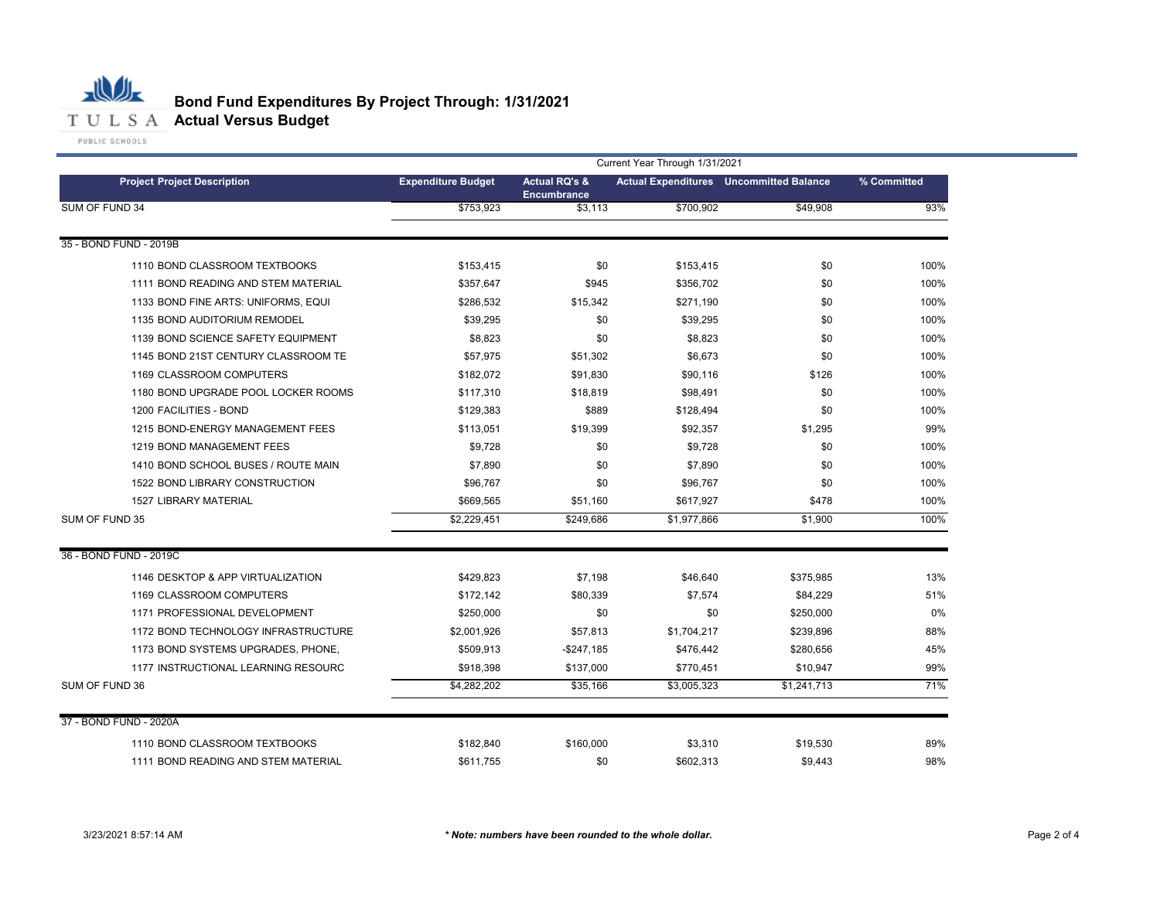

|                                     | Current Year Through 1/31/2021 |                                                |             |                                                |             |  |  |  |
|-------------------------------------|--------------------------------|------------------------------------------------|-------------|------------------------------------------------|-------------|--|--|--|
| <b>Project Project Description</b>  | <b>Expenditure Budget</b>      | <b>Actual RQ's &amp;</b><br><b>Encumbrance</b> |             | <b>Actual Expenditures</b> Uncommitted Balance | % Committed |  |  |  |
| SUM OF FUND 34                      | \$753,923                      | \$3,113                                        | \$700,902   | \$49,908                                       | 93%         |  |  |  |
| 35 - BOND FUND - 2019B              |                                |                                                |             |                                                |             |  |  |  |
| 1110 BOND CLASSROOM TEXTBOOKS       | \$153,415                      | \$0                                            | \$153,415   | \$0                                            | 100%        |  |  |  |
| 1111 BOND READING AND STEM MATERIAL | \$357,647                      | \$945                                          | \$356,702   | \$0                                            | 100%        |  |  |  |
| 1133 BOND FINE ARTS: UNIFORMS, EQUI | \$286,532                      | \$15,342                                       | \$271,190   | \$0                                            | 100%        |  |  |  |
| 1135 BOND AUDITORIUM REMODEL        | \$39.295                       | \$0                                            | \$39,295    | \$0                                            | 100%        |  |  |  |
| 1139 BOND SCIENCE SAFETY EQUIPMENT  | \$8,823                        | \$0                                            | \$8,823     | \$0                                            | 100%        |  |  |  |
| 1145 BOND 21ST CENTURY CLASSROOM TE | \$57,975                       | \$51,302                                       | \$6,673     | \$0                                            | 100%        |  |  |  |
| 1169 CLASSROOM COMPUTERS            | \$182,072                      | \$91,830                                       | \$90,116    | \$126                                          | 100%        |  |  |  |
| 1180 BOND UPGRADE POOL LOCKER ROOMS | \$117.310                      | \$18,819                                       | \$98,491    | \$0                                            | 100%        |  |  |  |
| 1200 FACILITIES - BOND              | \$129,383                      | \$889                                          | \$128,494   | \$0                                            | 100%        |  |  |  |
| 1215 BOND-ENERGY MANAGEMENT FEES    | \$113,051                      | \$19,399                                       | \$92,357    | \$1,295                                        | 99%         |  |  |  |
| 1219 BOND MANAGEMENT FEES           | \$9,728                        | \$0                                            | \$9,728     | \$0                                            | 100%        |  |  |  |
| 1410 BOND SCHOOL BUSES / ROUTE MAIN | \$7,890                        | \$0                                            | \$7,890     | \$0                                            | 100%        |  |  |  |
| 1522 BOND LIBRARY CONSTRUCTION      | \$96.767                       | \$0                                            | \$96,767    | \$0                                            | 100%        |  |  |  |
| <b>1527 LIBRARY MATERIAL</b>        | \$669,565                      | \$51.160                                       | \$617,927   | \$478                                          | 100%        |  |  |  |
| SUM OF FUND 35                      | \$2,229,451                    | \$249,686                                      | \$1,977,866 | \$1,900                                        | 100%        |  |  |  |
| 36 - BOND FUND - 2019C              |                                |                                                |             |                                                |             |  |  |  |
| 1146 DESKTOP & APP VIRTUALIZATION   | \$429,823                      | \$7,198                                        | \$46,640    | \$375,985                                      | 13%         |  |  |  |
| 1169 CLASSROOM COMPUTERS            | \$172.142                      | \$80,339                                       | \$7,574     | \$84,229                                       | 51%         |  |  |  |
| 1171 PROFESSIONAL DEVELOPMENT       | \$250,000                      | \$0                                            | \$0         | \$250,000                                      | 0%          |  |  |  |
| 1172 BOND TECHNOLOGY INFRASTRUCTURE | \$2,001,926                    | \$57,813                                       | \$1,704,217 | \$239,896                                      | 88%         |  |  |  |
| 1173 BOND SYSTEMS UPGRADES, PHONE,  | \$509,913                      | $-$247,185$                                    | \$476,442   | \$280,656                                      | 45%         |  |  |  |
| 1177 INSTRUCTIONAL LEARNING RESOURC | \$918,398                      | \$137,000                                      | \$770,451   | \$10,947                                       | 99%         |  |  |  |
| SUM OF FUND 36                      | \$4,282,202                    | \$35,166                                       | \$3,005,323 | \$1,241,713                                    | 71%         |  |  |  |
| 37 - BOND FUND - 2020A              |                                |                                                |             |                                                |             |  |  |  |
| 1110 BOND CLASSROOM TEXTBOOKS       | \$182,840                      | \$160,000                                      | \$3,310     | \$19,530                                       | 89%         |  |  |  |
| 1111 BOND READING AND STEM MATERIAL | \$611.755                      | \$0                                            | \$602,313   | \$9.443                                        | 98%         |  |  |  |
|                                     |                                |                                                |             |                                                |             |  |  |  |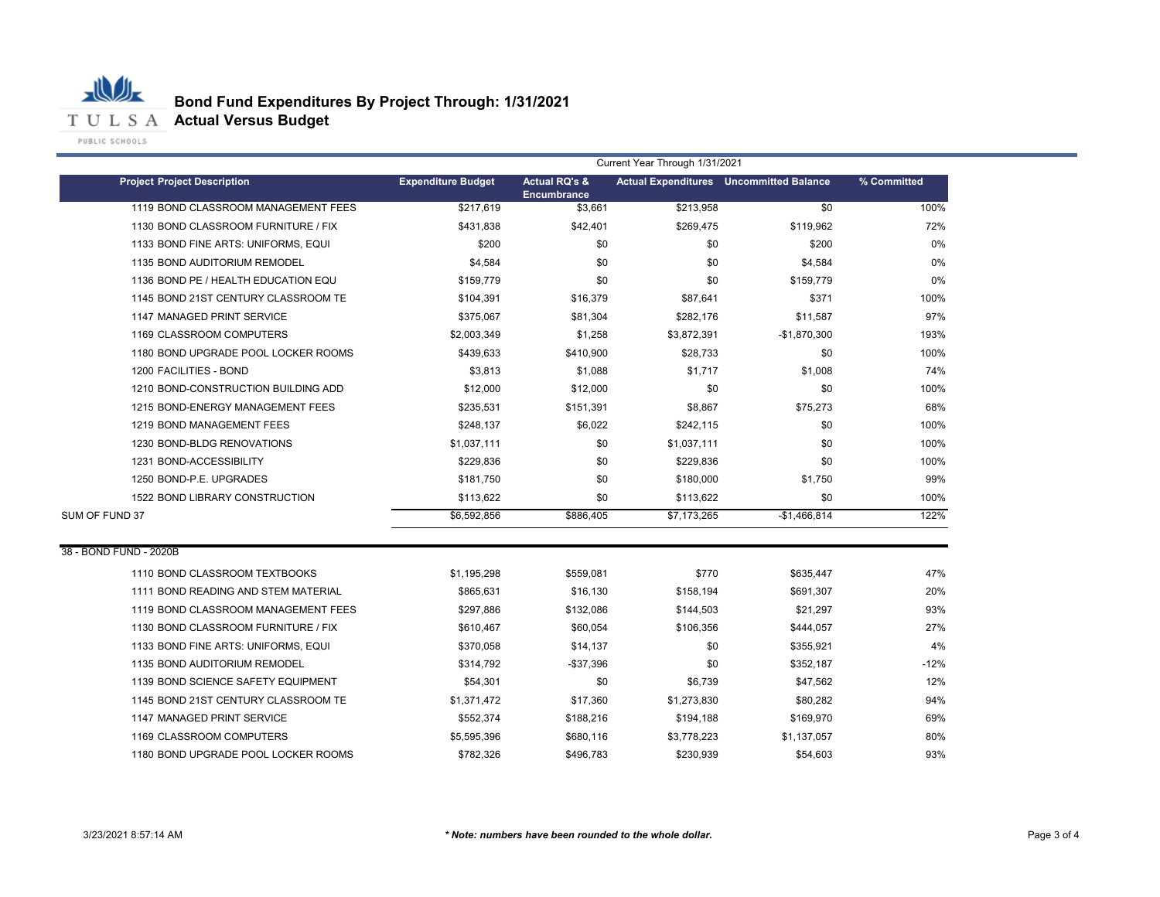

۰

|                                     | Current Year Through 1/31/2021 |                                                |             |                                                |             |  |  |  |
|-------------------------------------|--------------------------------|------------------------------------------------|-------------|------------------------------------------------|-------------|--|--|--|
| <b>Project Project Description</b>  | <b>Expenditure Budget</b>      | <b>Actual RQ's &amp;</b><br><b>Encumbrance</b> |             | <b>Actual Expenditures</b> Uncommitted Balance | % Committed |  |  |  |
| 1119 BOND CLASSROOM MANAGEMENT FEES | \$217.619                      | \$3,661                                        | \$213,958   | \$0                                            | 100%        |  |  |  |
| 1130 BOND CLASSROOM FURNITURE / FIX | \$431,838                      | \$42,401                                       | \$269,475   | \$119,962                                      | 72%         |  |  |  |
| 1133 BOND FINE ARTS: UNIFORMS, EQUI | \$200                          | \$0                                            | \$0         | \$200                                          | 0%          |  |  |  |
| 1135 BOND AUDITORIUM REMODEL        | \$4,584                        | \$0                                            | \$0         | \$4,584                                        | 0%          |  |  |  |
| 1136 BOND PE / HEALTH EDUCATION EQU | \$159,779                      | \$0                                            | \$0         | \$159,779                                      | 0%          |  |  |  |
| 1145 BOND 21ST CENTURY CLASSROOM TE | \$104,391                      | \$16,379                                       | \$87,641    | \$371                                          | 100%        |  |  |  |
| 1147 MANAGED PRINT SERVICE          | \$375,067                      | \$81,304                                       | \$282,176   | \$11,587                                       | 97%         |  |  |  |
| 1169 CLASSROOM COMPUTERS            | \$2,003,349                    | \$1,258                                        | \$3,872,391 | -\$1,870,300                                   | 193%        |  |  |  |
| 1180 BOND UPGRADE POOL LOCKER ROOMS | \$439,633                      | \$410,900                                      | \$28,733    | \$0                                            | 100%        |  |  |  |
| 1200 FACILITIES - BOND              | \$3,813                        | \$1,088                                        | \$1,717     | \$1,008                                        | 74%         |  |  |  |
| 1210 BOND-CONSTRUCTION BUILDING ADD | \$12,000                       | \$12,000                                       | \$0         | \$0                                            | 100%        |  |  |  |
| 1215 BOND-ENERGY MANAGEMENT FEES    | \$235,531                      | \$151,391                                      | \$8,867     | \$75,273                                       | 68%         |  |  |  |
| 1219 BOND MANAGEMENT FEES           | \$248,137                      | \$6,022                                        | \$242,115   | \$0                                            | 100%        |  |  |  |
| 1230 BOND-BLDG RENOVATIONS          | \$1,037,111                    | \$0                                            | \$1,037,111 | \$0                                            | 100%        |  |  |  |
| 1231 BOND-ACCESSIBILITY             | \$229,836                      | \$0                                            | \$229,836   | \$0                                            | 100%        |  |  |  |
| 1250 BOND-P.E. UPGRADES             | \$181,750                      | \$0                                            | \$180,000   | \$1,750                                        | 99%         |  |  |  |
| 1522 BOND LIBRARY CONSTRUCTION      | \$113,622                      | \$0                                            | \$113,622   | \$0                                            | 100%        |  |  |  |
| SUM OF FUND 37                      | \$6,592,856                    | \$886,405                                      | \$7,173,265 | $-$1,466,814$                                  | 122%        |  |  |  |
| 38 - BOND FUND - 2020B              |                                |                                                |             |                                                |             |  |  |  |
| 1110 BOND CLASSROOM TEXTBOOKS       | \$1,195,298                    | \$559,081                                      | \$770       | \$635,447                                      | 47%         |  |  |  |
| 1111 BOND READING AND STEM MATERIAL | \$865,631                      | \$16,130                                       | \$158,194   | \$691,307                                      | 20%         |  |  |  |
| 1119 BOND CLASSROOM MANAGEMENT FEES | \$297,886                      | \$132,086                                      | \$144,503   | \$21,297                                       | 93%         |  |  |  |
| 1130 BOND CLASSROOM FURNITURE / FIX | \$610,467                      | \$60,054                                       | \$106,356   | \$444,057                                      | 27%         |  |  |  |
| 1133 BOND FINE ARTS: UNIFORMS, EQUI | \$370,058                      | \$14,137                                       | \$0         | \$355,921                                      | 4%          |  |  |  |
| 1135 BOND AUDITORIUM REMODEL        | \$314,792                      | $-$37,396$                                     | \$0         | \$352,187                                      | $-12%$      |  |  |  |
| 1139 BOND SCIENCE SAFETY EQUIPMENT  | \$54,301                       | \$0                                            | \$6,739     | \$47,562                                       | 12%         |  |  |  |
| 1145 BOND 21ST CENTURY CLASSROOM TE | \$1,371,472                    | \$17,360                                       | \$1,273,830 | \$80,282                                       | 94%         |  |  |  |
| 1147 MANAGED PRINT SERVICE          | \$552,374                      | \$188,216                                      | \$194,188   | \$169,970                                      | 69%         |  |  |  |
| 1169 CLASSROOM COMPUTERS            | \$5,595,396                    | \$680,116                                      | \$3,778,223 | \$1,137,057                                    | 80%         |  |  |  |
| 1180 BOND UPGRADE POOL LOCKER ROOMS | \$782,326                      | \$496,783                                      | \$230,939   | \$54,603                                       | 93%         |  |  |  |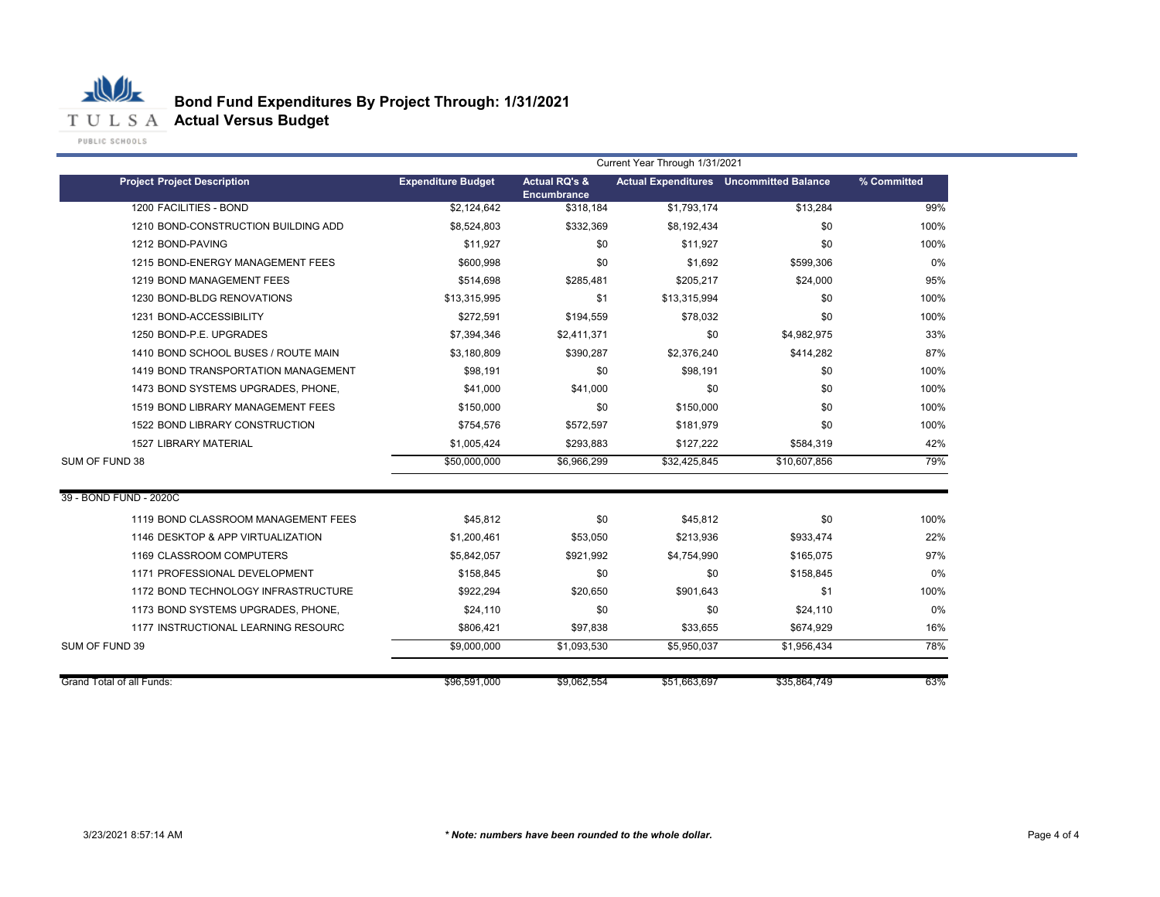

|                                     | Current Year Through 1/31/2021 |                                                |              |                                                |             |  |
|-------------------------------------|--------------------------------|------------------------------------------------|--------------|------------------------------------------------|-------------|--|
| <b>Project Project Description</b>  | <b>Expenditure Budget</b>      | <b>Actual RQ's &amp;</b><br><b>Encumbrance</b> |              | <b>Actual Expenditures</b> Uncommitted Balance | % Committed |  |
| 1200 FACILITIES - BOND              | \$2,124,642                    | \$318,184                                      | \$1,793,174  | \$13,284                                       | 99%         |  |
| 1210 BOND-CONSTRUCTION BUILDING ADD | \$8,524,803                    | \$332,369                                      | \$8,192,434  | \$0                                            | 100%        |  |
| 1212 BOND-PAVING                    | \$11,927                       | \$0                                            | \$11,927     | \$0                                            | 100%        |  |
| 1215 BOND-ENERGY MANAGEMENT FEES    | \$600.998                      | \$0                                            | \$1.692      | \$599.306                                      | 0%          |  |
| 1219 BOND MANAGEMENT FEES           | \$514,698                      | \$285.481                                      | \$205,217    | \$24.000                                       | 95%         |  |
| 1230 BOND-BLDG RENOVATIONS          | \$13,315,995                   | \$1                                            | \$13,315,994 | \$0                                            | 100%        |  |
| 1231 BOND-ACCESSIBILITY             | \$272,591                      | \$194,559                                      | \$78,032     | \$0                                            | 100%        |  |
| 1250 BOND-P.E. UPGRADES             | \$7,394,346                    | \$2,411,371                                    | \$0          | \$4,982,975                                    | 33%         |  |
| 1410 BOND SCHOOL BUSES / ROUTE MAIN | \$3,180,809                    | \$390,287                                      | \$2,376,240  | \$414,282                                      | 87%         |  |
| 1419 BOND TRANSPORTATION MANAGEMENT | \$98.191                       | \$0                                            | \$98.191     | \$0                                            | 100%        |  |
| 1473 BOND SYSTEMS UPGRADES, PHONE,  | \$41,000                       | \$41,000                                       | \$0          | \$0                                            | 100%        |  |
| 1519 BOND LIBRARY MANAGEMENT FEES   | \$150,000                      | \$0                                            | \$150,000    | \$0                                            | 100%        |  |
| 1522 BOND LIBRARY CONSTRUCTION      | \$754,576                      | \$572,597                                      | \$181,979    | \$0                                            | 100%        |  |
| <b>1527 LIBRARY MATERIAL</b>        | \$1,005,424                    | \$293,883                                      | \$127,222    | \$584,319                                      | 42%         |  |
| SUM OF FUND 38                      | \$50,000,000                   | \$6,966,299                                    | \$32,425,845 | \$10,607,856                                   | 79%         |  |
| 39 - BOND FUND - 2020C              |                                |                                                |              |                                                |             |  |
| 1119 BOND CLASSROOM MANAGEMENT FEES | \$45,812                       | \$0                                            | \$45,812     | \$0                                            | 100%        |  |
| 1146 DESKTOP & APP VIRTUALIZATION   | \$1,200,461                    | \$53,050                                       | \$213,936    | \$933,474                                      | 22%         |  |
| 1169 CLASSROOM COMPUTERS            | \$5,842,057                    | \$921,992                                      | \$4,754,990  | \$165.075                                      | 97%         |  |
| 1171 PROFESSIONAL DEVELOPMENT       | \$158,845                      | \$0                                            | \$0          | \$158,845                                      | 0%          |  |
| 1172 BOND TECHNOLOGY INFRASTRUCTURE | \$922,294                      | \$20,650                                       | \$901,643    | \$1                                            | 100%        |  |
| 1173 BOND SYSTEMS UPGRADES, PHONE,  | \$24,110                       | \$0                                            | \$0          | \$24,110                                       | 0%          |  |
| 1177 INSTRUCTIONAL LEARNING RESOURC | \$806,421                      | \$97,838                                       | \$33,655     | \$674,929                                      | 16%         |  |
| SUM OF FUND 39                      | \$9,000,000                    | \$1,093,530                                    | \$5,950,037  | \$1,956,434                                    | 78%         |  |
| Grand Total of all Funds:           | \$96,591,000                   | \$9,062,554                                    | \$51,663,697 | \$35,864,749                                   | 63%         |  |